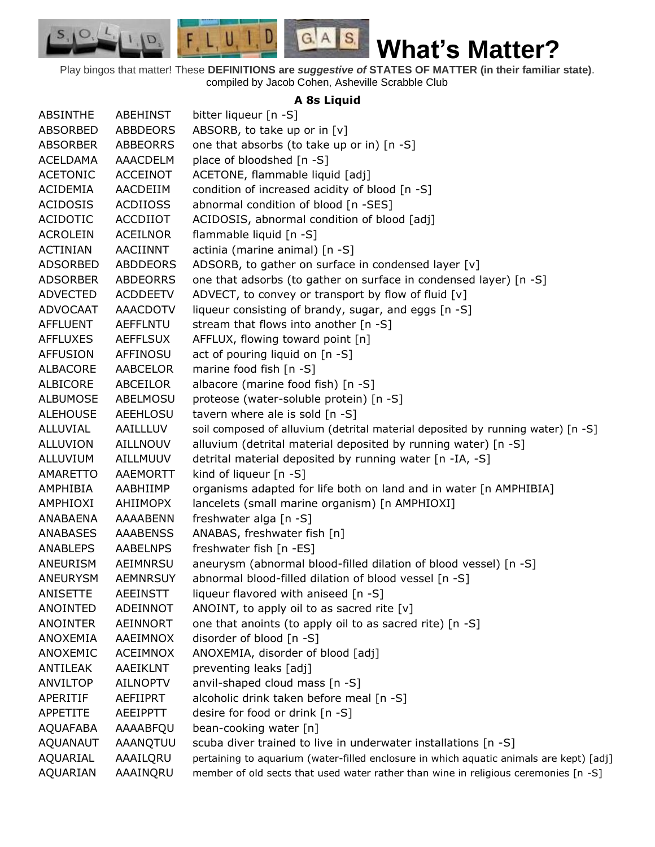$F, L, U, I, D$  $G.A.S.$  $S_{1}$  $\mathcal{O},$ D. **What's Matter?** Play bingos that matter! These **DEFINITIONS are** *suggestive of* **STATES OF MATTER (in their familiar state)**.

compiled by Jacob Cohen, Asheville Scrabble Club

## **A 8s Liquid**

| <b>ABSINTHE</b> | <b>ABEHINST</b> | bitter liqueur [n -S]                                                                   |
|-----------------|-----------------|-----------------------------------------------------------------------------------------|
| <b>ABSORBED</b> | ABBDEORS        | ABSORB, to take up or in [v]                                                            |
| <b>ABSORBER</b> | ABBEORRS        | one that absorbs (to take up or in) [n -S]                                              |
| <b>ACELDAMA</b> | AAACDELM        | place of bloodshed [n -S]                                                               |
| <b>ACETONIC</b> | <b>ACCEINOT</b> | ACETONE, flammable liquid [adj]                                                         |
| <b>ACIDEMIA</b> | AACDEIIM        | condition of increased acidity of blood [n -S]                                          |
| <b>ACIDOSIS</b> | <b>ACDIIOSS</b> | abnormal condition of blood [n -SES]                                                    |
| <b>ACIDOTIC</b> | ACCDIIOT        | ACIDOSIS, abnormal condition of blood [adj]                                             |
| <b>ACROLEIN</b> | <b>ACEILNOR</b> | flammable liquid [n -S]                                                                 |
| <b>ACTINIAN</b> | AACIINNT        | actinia (marine animal) [n -S]                                                          |
| <b>ADSORBED</b> | <b>ABDDEORS</b> | ADSORB, to gather on surface in condensed layer [v]                                     |
| <b>ADSORBER</b> | <b>ABDEORRS</b> | one that adsorbs (to gather on surface in condensed layer) [n -S]                       |
| <b>ADVECTED</b> | <b>ACDDEETV</b> | ADVECT, to convey or transport by flow of fluid [v]                                     |
| <b>ADVOCAAT</b> | <b>AAACDOTV</b> | liqueur consisting of brandy, sugar, and eggs [n -S]                                    |
| <b>AFFLUENT</b> | <b>AEFFLNTU</b> | stream that flows into another [n -S]                                                   |
| <b>AFFLUXES</b> | <b>AEFFLSUX</b> | AFFLUX, flowing toward point [n]                                                        |
| <b>AFFUSION</b> | AFFINOSU        | act of pouring liquid on [n -S]                                                         |
| <b>ALBACORE</b> | AABCELOR        | marine food fish [n -S]                                                                 |
| ALBICORE        | ABCEILOR        | albacore (marine food fish) [n -S]                                                      |
| <b>ALBUMOSE</b> | ABELMOSU        | proteose (water-soluble protein) [n -S]                                                 |
| <b>ALEHOUSE</b> | <b>AEEHLOSU</b> | tavern where ale is sold [n -S]                                                         |
| <b>ALLUVIAL</b> | AAILLLUV        | soil composed of alluvium (detrital material deposited by running water) [n -S]         |
| <b>ALLUVION</b> | <b>AILLNOUV</b> | alluvium (detrital material deposited by running water) [n -S]                          |
| ALLUVIUM        | AILLMUUV        | detrital material deposited by running water [n -IA, -S]                                |
| AMARETTO        | AAEMORTT        | kind of liqueur [n -S]                                                                  |
| AMPHIBIA        | AABHIIMP        | organisms adapted for life both on land and in water [n AMPHIBIA]                       |
| AMPHIOXI        | AHIIMOPX        | lancelets (small marine organism) [n AMPHIOXI]                                          |
| ANABAENA        | AAAABENN        | freshwater alga [n -S]                                                                  |
| <b>ANABASES</b> | <b>AAABENSS</b> | ANABAS, freshwater fish [n]                                                             |
| <b>ANABLEPS</b> | <b>AABELNPS</b> | freshwater fish [n -ES]                                                                 |
| ANEURISM        | AEIMNRSU        | aneurysm (abnormal blood-filled dilation of blood vessel) [n -S]                        |
| <b>ANEURYSM</b> | <b>AEMNRSUY</b> | abnormal blood-filled dilation of blood vessel [n -S]                                   |
| ANISETTE        | <b>AEEINSTT</b> | liqueur flavored with aniseed [n -S]                                                    |
| <b>ANOINTED</b> | <b>ADEINNOT</b> | ANOINT, to apply oil to as sacred rite [v]                                              |
| <b>ANOINTER</b> | AEINNORT        | one that anoints (to apply oil to as sacred rite) [n -S]                                |
| ANOXEMIA        | AAEIMNOX        | disorder of blood [n -S]                                                                |
| ANOXEMIC        | <b>ACEIMNOX</b> | ANOXEMIA, disorder of blood [adj]                                                       |
| ANTILEAK        | AAEIKLNT        | preventing leaks [adj]                                                                  |
| ANVILTOP        | <b>AILNOPTV</b> | anvil-shaped cloud mass [n -S]                                                          |
| APERITIF        | <b>AEFIIPRT</b> | alcoholic drink taken before meal [n -S]                                                |
| APPETITE        | <b>AEEIPPTT</b> | desire for food or drink [n -S]                                                         |
| <b>AQUAFABA</b> | AAAABFQU        | bean-cooking water [n]                                                                  |
| <b>AQUANAUT</b> | AAANQTUU        | scuba diver trained to live in underwater installations [n -S]                          |
| AQUARIAL        | AAAILQRU        | pertaining to aquarium (water-filled enclosure in which aquatic animals are kept) [adj] |
| AQUARIAN        | AAAINQRU        | member of old sects that used water rather than wine in religious ceremonies [n -S]     |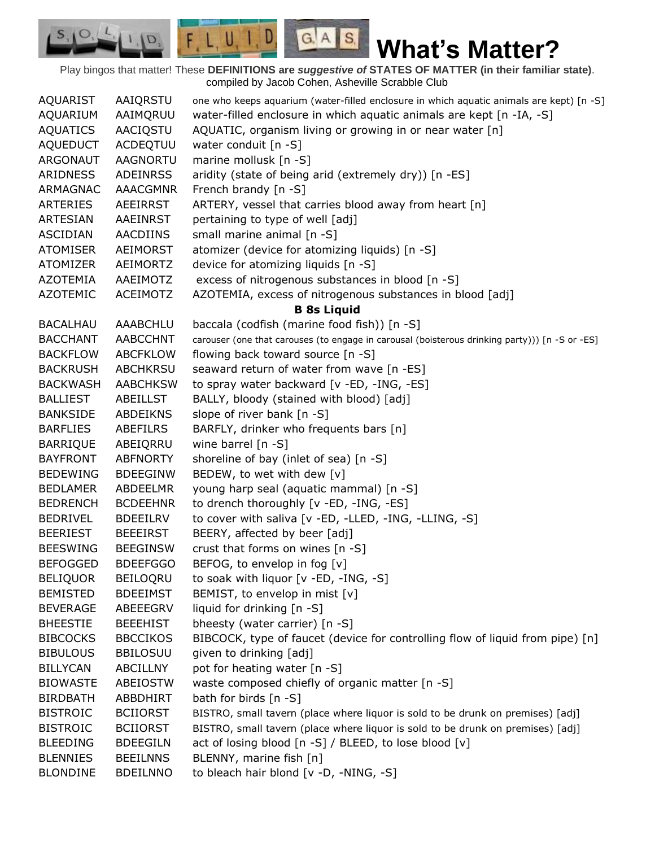$G.A.S.$ 

 $F, L, U, I, D,$ 

D.

| AQUARIST        | AAIQRSTU        | one who keeps aquarium (water-filled enclosure in which aquatic animals are kept) [n -S]       |
|-----------------|-----------------|------------------------------------------------------------------------------------------------|
| AQUARIUM        | AAIMQRUU        | water-filled enclosure in which aquatic animals are kept [n -IA, -S]                           |
| <b>AQUATICS</b> | AACIQSTU        | AQUATIC, organism living or growing in or near water [n]                                       |
| <b>AQUEDUCT</b> | ACDEQTUU        | water conduit [n -S]                                                                           |
| <b>ARGONAUT</b> | <b>AAGNORTU</b> | marine mollusk [n -S]                                                                          |
| ARIDNESS        | <b>ADEINRSS</b> | aridity (state of being arid (extremely dry)) [n -ES]                                          |
| ARMAGNAC        | <b>AAACGMNR</b> | French brandy [n -S]                                                                           |
| ARTERIES        | AEEIRRST        | ARTERY, vessel that carries blood away from heart [n]                                          |
| <b>ARTESIAN</b> | <b>AAEINRST</b> | pertaining to type of well [adj]                                                               |
| <b>ASCIDIAN</b> | <b>AACDIINS</b> | small marine animal [n -S]                                                                     |
| <b>ATOMISER</b> | <b>AEIMORST</b> | atomizer (device for atomizing liquids) [n -S]                                                 |
| <b>ATOMIZER</b> | AEIMORTZ        | device for atomizing liquids [n -S]                                                            |
| <b>AZOTEMIA</b> | AAEIMOTZ        | excess of nitrogenous substances in blood [n -S]                                               |
| <b>AZOTEMIC</b> | <b>ACEIMOTZ</b> | AZOTEMIA, excess of nitrogenous substances in blood [adj]                                      |
|                 |                 | <b>B 8s Liquid</b>                                                                             |
| <b>BACALHAU</b> | AAABCHLU        | baccala (codfish (marine food fish)) [n -S]                                                    |
| <b>BACCHANT</b> | <b>AABCCHNT</b> | carouser (one that carouses (to engage in carousal (boisterous drinking party))) [n -S or -ES] |
| <b>BACKFLOW</b> | <b>ABCFKLOW</b> | flowing back toward source [n -S]                                                              |
| <b>BACKRUSH</b> | ABCHKRSU        | seaward return of water from wave [n -ES]                                                      |
| <b>BACKWASH</b> | <b>AABCHKSW</b> | to spray water backward [v -ED, -ING, -ES]                                                     |
| <b>BALLIEST</b> | <b>ABEILLST</b> | BALLY, bloody (stained with blood) [adj]                                                       |
| <b>BANKSIDE</b> | <b>ABDEIKNS</b> | slope of river bank [n -S]                                                                     |
| <b>BARFLIES</b> | <b>ABEFILRS</b> | BARFLY, drinker who frequents bars [n]                                                         |
| <b>BARRIQUE</b> | ABEIQRRU        | wine barrel [n -S]                                                                             |
| <b>BAYFRONT</b> | ABFNORTY        | shoreline of bay (inlet of sea) [n -S]                                                         |
| <b>BEDEWING</b> | <b>BDEEGINW</b> | BEDEW, to wet with dew [v]                                                                     |
| <b>BEDLAMER</b> | ABDEELMR        | young harp seal (aquatic mammal) [n -S]                                                        |
| <b>BEDRENCH</b> | <b>BCDEEHNR</b> | to drench thoroughly [v -ED, -ING, -ES]                                                        |
| <b>BEDRIVEL</b> | <b>BDEEILRV</b> | to cover with saliva [v -ED, -LLED, -ING, -LLING, -S]                                          |
| <b>BEERIEST</b> | <b>BEEEIRST</b> | BEERY, affected by beer [adj]                                                                  |
| <b>BEESWING</b> | <b>BEEGINSW</b> | crust that forms on wines [n -S]                                                               |
| <b>BEFOGGED</b> | <b>BDEEFGGO</b> | BEFOG, to envelop in fog [v]                                                                   |
| <b>BELIQUOR</b> | <b>BEILOQRU</b> | to soak with liquor $[v - ED, -ING, -S]$                                                       |
| <b>BEMISTED</b> | <b>BDEEIMST</b> | BEMIST, to envelop in mist [v]                                                                 |
| <b>BEVERAGE</b> | ABEEEGRV        | liquid for drinking [n -S]                                                                     |
| <b>BHEESTIE</b> | <b>BEEEHIST</b> | bheesty (water carrier) [n -S]                                                                 |
| <b>BIBCOCKS</b> | <b>BBCCIKOS</b> | BIBCOCK, type of faucet (device for controlling flow of liquid from pipe) [n]                  |
| <b>BIBULOUS</b> | <b>BBILOSUU</b> | given to drinking [adj]                                                                        |
| <b>BILLYCAN</b> | ABCILLNY        | pot for heating water [n -S]                                                                   |
| <b>BIOWASTE</b> | ABEIOSTW        | waste composed chiefly of organic matter [n -S]                                                |
| <b>BIRDBATH</b> | ABBDHIRT        | bath for birds $[n - S]$                                                                       |
| <b>BISTROIC</b> | <b>BCIIORST</b> | BISTRO, small tavern (place where liquor is sold to be drunk on premises) [adj]                |
| <b>BISTROIC</b> | <b>BCIIORST</b> | BISTRO, small tavern (place where liquor is sold to be drunk on premises) [adj]                |
| <b>BLEEDING</b> | <b>BDEEGILN</b> | act of losing blood [n -S] / BLEED, to lose blood [v]                                          |
| <b>BLENNIES</b> | <b>BEEILNNS</b> | BLENNY, marine fish [n]                                                                        |
| <b>BLONDINE</b> | <b>BDEILNNO</b> | to bleach hair blond [v -D, -NING, -S]                                                         |
|                 |                 |                                                                                                |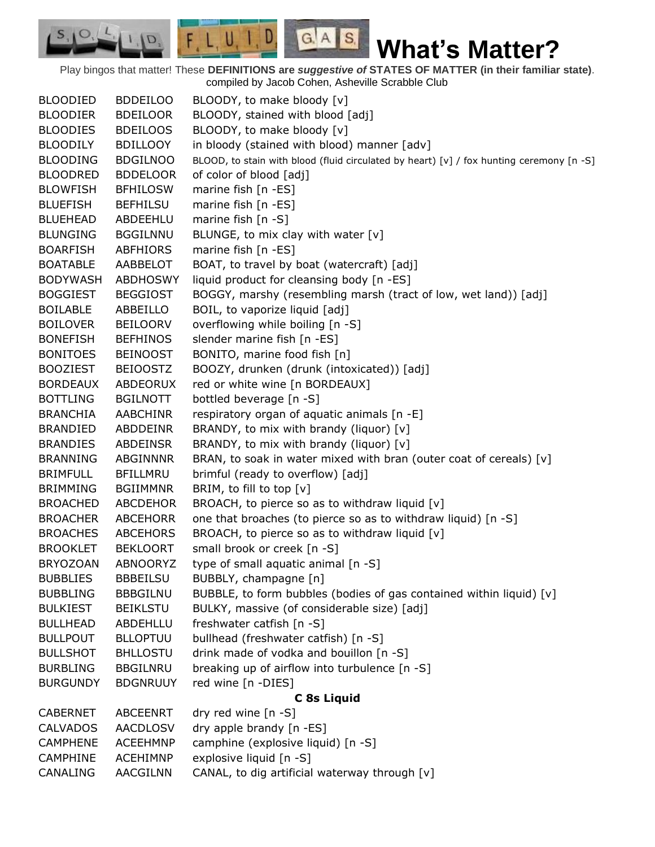$G.A.S.$ 

 $F, L, U, I, D$ 

D.

| <b>BLOODIED</b> | <b>BDDEILOO</b> | BLOODY, to make bloody [v]                                                               |
|-----------------|-----------------|------------------------------------------------------------------------------------------|
| <b>BLOODIER</b> | <b>BDEILOOR</b> | BLOODY, stained with blood [adj]                                                         |
| <b>BLOODIES</b> | <b>BDEILOOS</b> | BLOODY, to make bloody [v]                                                               |
| <b>BLOODILY</b> | <b>BDILLOOY</b> | in bloody (stained with blood) manner [adv]                                              |
| <b>BLOODING</b> | <b>BDGILNOO</b> | BLOOD, to stain with blood (fluid circulated by heart) [v] / fox hunting ceremony [n -S] |
| <b>BLOODRED</b> | <b>BDDELOOR</b> | of color of blood [adj]                                                                  |
| <b>BLOWFISH</b> | <b>BFHILOSW</b> | marine fish [n -ES]                                                                      |
| <b>BLUEFISH</b> | <b>BEFHILSU</b> | marine fish [n -ES]                                                                      |
| <b>BLUEHEAD</b> | ABDEEHLU        | marine fish $[n -S]$                                                                     |
| <b>BLUNGING</b> | <b>BGGILNNU</b> | BLUNGE, to mix clay with water [v]                                                       |
| <b>BOARFISH</b> | ABFHIORS        | marine fish [n -ES]                                                                      |
| <b>BOATABLE</b> | AABBELOT        | BOAT, to travel by boat (watercraft) [adj]                                               |
| <b>BODYWASH</b> | <b>ABDHOSWY</b> | liquid product for cleansing body [n -ES]                                                |
| <b>BOGGIEST</b> | <b>BEGGIOST</b> | BOGGY, marshy (resembling marsh (tract of low, wet land)) [adj]                          |
| <b>BOILABLE</b> | ABBEILLO        | BOIL, to vaporize liquid [adj]                                                           |
| <b>BOILOVER</b> | <b>BEILOORV</b> | overflowing while boiling [n -S]                                                         |
| <b>BONEFISH</b> | <b>BEFHINOS</b> | slender marine fish [n -ES]                                                              |
| <b>BONITOES</b> | <b>BEINOOST</b> | BONITO, marine food fish [n]                                                             |
| <b>BOOZIEST</b> | <b>BEIOOSTZ</b> | BOOZY, drunken (drunk (intoxicated)) [adj]                                               |
| <b>BORDEAUX</b> | ABDEORUX        | red or white wine [n BORDEAUX]                                                           |
| <b>BOTTLING</b> | <b>BGILNOTT</b> | bottled beverage [n -S]                                                                  |
| <b>BRANCHIA</b> | AABCHINR        | respiratory organ of aquatic animals [n -E]                                              |
| <b>BRANDIED</b> | ABDDEINR        | BRANDY, to mix with brandy (liquor) [v]                                                  |
| <b>BRANDIES</b> | ABDEINSR        | BRANDY, to mix with brandy (liquor) [v]                                                  |
| <b>BRANNING</b> | ABGINNNR        | BRAN, to soak in water mixed with bran (outer coat of cereals) [v]                       |
| <b>BRIMFULL</b> | <b>BFILLMRU</b> | brimful (ready to overflow) [adj]                                                        |
| <b>BRIMMING</b> | <b>BGIIMMNR</b> | BRIM, to fill to top [v]                                                                 |
| <b>BROACHED</b> | <b>ABCDEHOR</b> | BROACH, to pierce so as to withdraw liquid [v]                                           |
| <b>BROACHER</b> | <b>ABCEHORR</b> | one that broaches (to pierce so as to withdraw liquid) [n -S]                            |
| <b>BROACHES</b> | <b>ABCEHORS</b> | BROACH, to pierce so as to withdraw liquid $[v]$                                         |
| <b>BROOKLET</b> | <b>BEKLOORT</b> | small brook or creek [n -S]                                                              |
| <b>BRYOZOAN</b> | <b>ABNOORYZ</b> | type of small aquatic animal [n -S]                                                      |
| <b>BUBBLIES</b> | <b>BBBEILSU</b> | BUBBLY, champagne [n]                                                                    |
| <b>BUBBLING</b> | <b>BBBGILNU</b> | BUBBLE, to form bubbles (bodies of gas contained within liquid) [v]                      |
| <b>BULKIEST</b> | <b>BEIKLSTU</b> | BULKY, massive (of considerable size) [adj]                                              |
| <b>BULLHEAD</b> | ABDEHLLU        | freshwater catfish [n -S]                                                                |
| <b>BULLPOUT</b> | <b>BLLOPTUU</b> | bullhead (freshwater catfish) [n -S]                                                     |
| <b>BULLSHOT</b> | <b>BHLLOSTU</b> | drink made of vodka and bouillon [n -S]                                                  |
| <b>BURBLING</b> | <b>BBGILNRU</b> | breaking up of airflow into turbulence [n -S]                                            |
| <b>BURGUNDY</b> | <b>BDGNRUUY</b> | red wine [n -DIES]                                                                       |
|                 |                 | C 8s Liquid                                                                              |
| <b>CABERNET</b> | <b>ABCEENRT</b> | dry red wine [n -S]                                                                      |
| <b>CALVADOS</b> | <b>AACDLOSV</b> | dry apple brandy [n -ES]                                                                 |
| <b>CAMPHENE</b> | <b>ACEEHMNP</b> | camphine (explosive liquid) [n -S]                                                       |
| <b>CAMPHINE</b> | <b>ACEHIMNP</b> | explosive liquid [n -S]                                                                  |
| CANALING        | AACGILNN        | CANAL, to dig artificial waterway through [v]                                            |
|                 |                 |                                                                                          |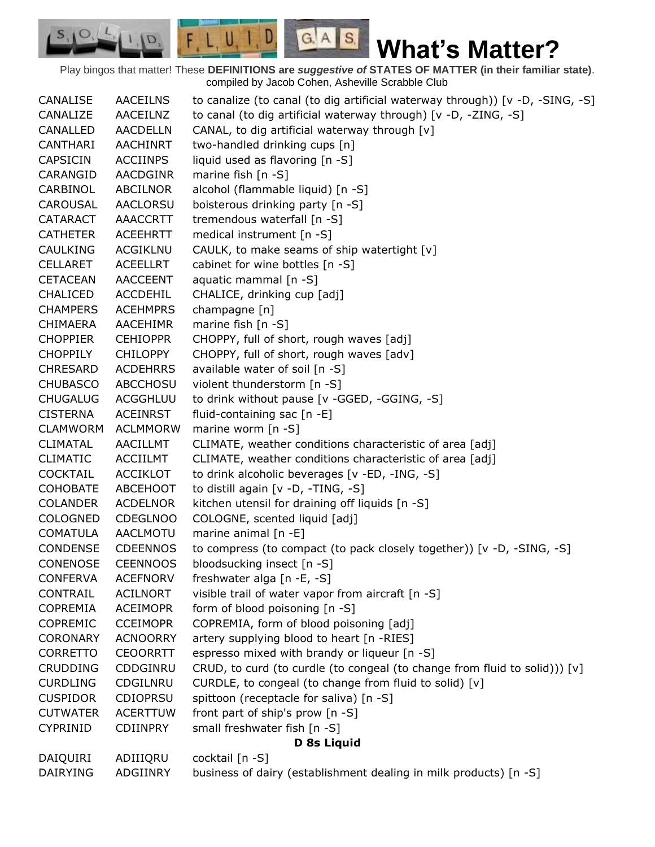$G.A.S.$ 

 $F, L, U, I, D$ 

D.

| CANALISE        | <b>AACEILNS</b> | to canalize (to canal (to dig artificial waterway through)) [v -D, -SING, -S] |
|-----------------|-----------------|-------------------------------------------------------------------------------|
| CANALIZE        | AACEILNZ        | to canal (to dig artificial waterway through) [v -D, -ZING, -S]               |
| CANALLED        | <b>AACDELLN</b> | CANAL, to dig artificial waterway through [v]                                 |
| CANTHARI        | <b>AACHINRT</b> | two-handled drinking cups [n]                                                 |
| <b>CAPSICIN</b> | <b>ACCIINPS</b> | liquid used as flavoring [n -S]                                               |
| CARANGID        | <b>AACDGINR</b> | marine fish $[n - S]$                                                         |
| CARBINOL        | ABCILNOR        | alcohol (flammable liquid) [n -S]                                             |
| CAROUSAL        | AACLORSU        | boisterous drinking party [n -S]                                              |
| <b>CATARACT</b> | <b>AAACCRTT</b> | tremendous waterfall [n -S]                                                   |
| <b>CATHETER</b> | <b>ACEEHRTT</b> | medical instrument [n -S]                                                     |
| <b>CAULKING</b> | <b>ACGIKLNU</b> | CAULK, to make seams of ship watertight [v]                                   |
| <b>CELLARET</b> | <b>ACEELLRT</b> | cabinet for wine bottles [n -S]                                               |
| <b>CETACEAN</b> | <b>AACCEENT</b> | aquatic mammal [n -S]                                                         |
| <b>CHALICED</b> | ACCDEHIL        | CHALICE, drinking cup [adj]                                                   |
| <b>CHAMPERS</b> | <b>ACEHMPRS</b> | champagne [n]                                                                 |
| <b>CHIMAERA</b> | <b>AACEHIMR</b> | marine fish [n -S]                                                            |
| <b>CHOPPIER</b> | <b>CEHIOPPR</b> | CHOPPY, full of short, rough waves [adj]                                      |
| <b>CHOPPILY</b> | <b>CHILOPPY</b> | CHOPPY, full of short, rough waves [adv]                                      |
| <b>CHRESARD</b> | <b>ACDEHRRS</b> | available water of soil [n -S]                                                |
| <b>CHUBASCO</b> | <b>ABCCHOSU</b> | violent thunderstorm [n -S]                                                   |
| <b>CHUGALUG</b> | ACGGHLUU        | to drink without pause [v -GGED, -GGING, -S]                                  |
| <b>CISTERNA</b> | <b>ACEINRST</b> | fluid-containing sac [n -E]                                                   |
| <b>CLAMWORM</b> | <b>ACLMMORW</b> | marine worm $[n -S]$                                                          |
| <b>CLIMATAL</b> | AACILLMT        | CLIMATE, weather conditions characteristic of area [adj]                      |
| <b>CLIMATIC</b> | <b>ACCIILMT</b> | CLIMATE, weather conditions characteristic of area [adj]                      |
| <b>COCKTAIL</b> | <b>ACCIKLOT</b> | to drink alcoholic beverages [v -ED, -ING, -S]                                |
| <b>COHOBATE</b> | ABCEHOOT        | to distill again [v -D, -TING, -S]                                            |
| <b>COLANDER</b> | <b>ACDELNOR</b> | kitchen utensil for draining off liquids [n -S]                               |
| <b>COLOGNED</b> | <b>CDEGLNOO</b> | COLOGNE, scented liquid [adj]                                                 |
| <b>COMATULA</b> | AACLMOTU        | marine animal [n -E]                                                          |
| <b>CONDENSE</b> | <b>CDEENNOS</b> | to compress (to compact (to pack closely together)) [v -D, -SING, -S]         |
| <b>CONENOSE</b> | <b>CEENNOOS</b> | bloodsucking insect [n -S]                                                    |
| <b>CONFERVA</b> | <b>ACEFNORV</b> | freshwater alga [n -E, -S]                                                    |
| CONTRAIL        | <b>ACILNORT</b> | visible trail of water vapor from aircraft [n -S]                             |
| <b>COPREMIA</b> | <b>ACEIMOPR</b> | form of blood poisoning [n -S]                                                |
| <b>COPREMIC</b> | <b>CCEIMOPR</b> | COPREMIA, form of blood poisoning [adj]                                       |
| <b>CORONARY</b> | <b>ACNOORRY</b> | artery supplying blood to heart [n -RIES]                                     |
| <b>CORRETTO</b> | <b>CEOORRTT</b> | espresso mixed with brandy or liqueur [n -S]                                  |
| <b>CRUDDING</b> | CDDGINRU        | CRUD, to curd (to curdle (to congeal (to change from fluid to solid))) [v]    |
| <b>CURDLING</b> | CDGILNRU        | CURDLE, to congeal (to change from fluid to solid) [v]                        |
| <b>CUSPIDOR</b> | <b>CDIOPRSU</b> | spittoon (receptacle for saliva) [n -S]                                       |
| <b>CUTWATER</b> | <b>ACERTTUW</b> | front part of ship's prow [n -S]                                              |
| CYPRINID        | <b>CDIINPRY</b> | small freshwater fish [n -S]                                                  |
|                 |                 | D 8s Liquid                                                                   |
| DAIQUIRI        | ADIIIQRU        | cocktail [n -S]                                                               |
| <b>DAIRYING</b> | ADGIINRY        | business of dairy (establishment dealing in milk products) [n -S]             |
|                 |                 |                                                                               |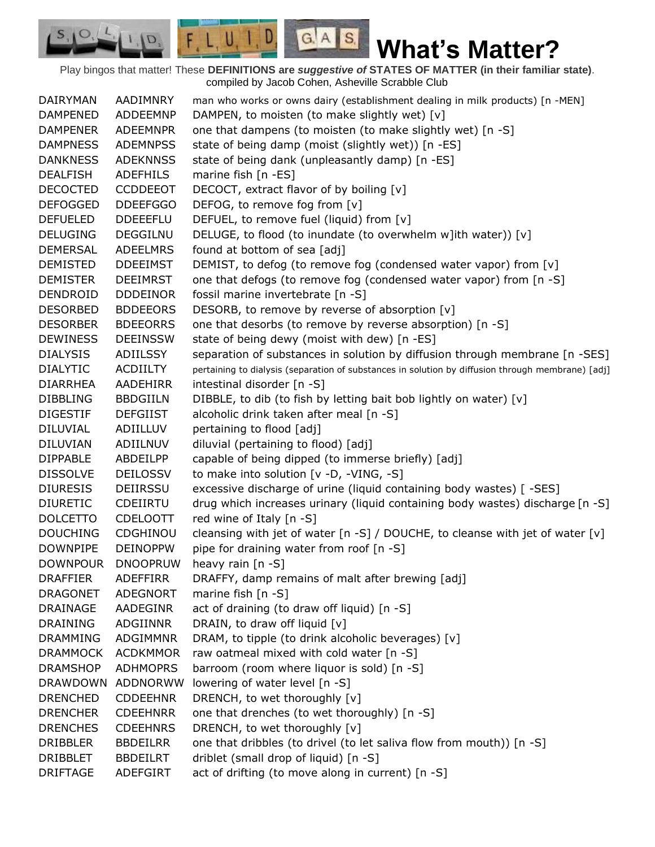$S_{1}$  $\circ$ 

D.

 $G.A.S.$ 

| DAIRYMAN        | AADIMNRY        | man who works or owns dairy (establishment dealing in milk products) [n -MEN]                     |
|-----------------|-----------------|---------------------------------------------------------------------------------------------------|
| <b>DAMPENED</b> | ADDEEMNP        | DAMPEN, to moisten (to make slightly wet) [v]                                                     |
| <b>DAMPENER</b> | <b>ADEEMNPR</b> | one that dampens (to moisten (to make slightly wet) [n -S]                                        |
| <b>DAMPNESS</b> | <b>ADEMNPSS</b> | state of being damp (moist (slightly wet)) [n -ES]                                                |
| <b>DANKNESS</b> | <b>ADEKNNSS</b> | state of being dank (unpleasantly damp) [n -ES]                                                   |
| <b>DEALFISH</b> | <b>ADEFHILS</b> | marine fish $[n - ES]$                                                                            |
| <b>DECOCTED</b> | <b>CCDDEEOT</b> | DECOCT, extract flavor of by boiling [v]                                                          |
| <b>DEFOGGED</b> | <b>DDEEFGGO</b> | DEFOG, to remove fog from [v]                                                                     |
| <b>DEFUELED</b> | <b>DDEEEFLU</b> | DEFUEL, to remove fuel (liquid) from [v]                                                          |
| <b>DELUGING</b> | <b>DEGGILNU</b> | DELUGE, to flood (to inundate (to overwhelm w]ith water)) [v]                                     |
| <b>DEMERSAL</b> | <b>ADEELMRS</b> | found at bottom of sea [adj]                                                                      |
| <b>DEMISTED</b> | <b>DDEEIMST</b> | DEMIST, to defog (to remove fog (condensed water vapor) from [v]                                  |
| <b>DEMISTER</b> | <b>DEEIMRST</b> | one that defogs (to remove fog (condensed water vapor) from [n -S]                                |
| DENDROID        | <b>DDDEINOR</b> | fossil marine invertebrate [n -S]                                                                 |
| <b>DESORBED</b> | <b>BDDEEORS</b> | DESORB, to remove by reverse of absorption [v]                                                    |
| <b>DESORBER</b> | <b>BDEEORRS</b> | one that desorbs (to remove by reverse absorption) [n -S]                                         |
| <b>DEWINESS</b> | <b>DEEINSSW</b> | state of being dewy (moist with dew) [n -ES]                                                      |
| <b>DIALYSIS</b> | ADIILSSY        | separation of substances in solution by diffusion through membrane [n -SES]                       |
| <b>DIALYTIC</b> | <b>ACDIILTY</b> | pertaining to dialysis (separation of substances in solution by diffusion through membrane) [adj] |
| <b>DIARRHEA</b> | AADEHIRR        | intestinal disorder [n -S]                                                                        |
| <b>DIBBLING</b> | <b>BBDGIILN</b> | DIBBLE, to dib (to fish by letting bait bob lightly on water) [v]                                 |
| <b>DIGESTIF</b> | <b>DEFGIIST</b> | alcoholic drink taken after meal [n -S]                                                           |
| <b>DILUVIAL</b> | ADIILLUV        | pertaining to flood [adj]                                                                         |
| <b>DILUVIAN</b> | ADIILNUV        | diluvial (pertaining to flood) [adj]                                                              |
| <b>DIPPABLE</b> | ABDEILPP        | capable of being dipped (to immerse briefly) [adj]                                                |
| <b>DISSOLVE</b> | <b>DEILOSSV</b> | to make into solution [v -D, -VING, -S]                                                           |
| <b>DIURESIS</b> | DEIIRSSU        | excessive discharge of urine (liquid containing body wastes) [ -SES]                              |
| <b>DIURETIC</b> | CDEIIRTU        | drug which increases urinary (liquid containing body wastes) discharge [n -S]                     |
| <b>DOLCETTO</b> | <b>CDELOOTT</b> | red wine of Italy [n -S]                                                                          |
| <b>DOUCHING</b> | <b>CDGHINOU</b> | cleansing with jet of water [n -S] / DOUCHE, to cleanse with jet of water $[v]$                   |
| <b>DOWNPIPE</b> | <b>DEINOPPW</b> | pipe for draining water from roof [n -S]                                                          |
| <b>DOWNPOUR</b> | <b>DNOOPRUW</b> | heavy rain [n -S]                                                                                 |
| <b>DRAFFIER</b> | ADEFFIRR        | DRAFFY, damp remains of malt after brewing [adj]                                                  |
| <b>DRAGONET</b> | <b>ADEGNORT</b> | marine fish $[n - S]$                                                                             |
| DRAINAGE        | AADEGINR        | act of draining (to draw off liquid) [n -S]                                                       |
| <b>DRAINING</b> | ADGIINNR        | DRAIN, to draw off liquid [v]                                                                     |
| <b>DRAMMING</b> | <b>ADGIMMNR</b> | DRAM, to tipple (to drink alcoholic beverages) [v]                                                |
| <b>DRAMMOCK</b> | <b>ACDKMMOR</b> | raw oatmeal mixed with cold water [n -S]                                                          |
| <b>DRAMSHOP</b> | <b>ADHMOPRS</b> | barroom (room where liquor is sold) [n -S]                                                        |
| <b>DRAWDOWN</b> | ADDNORWW        | lowering of water level [n -S]                                                                    |
| <b>DRENCHED</b> | <b>CDDEEHNR</b> | DRENCH, to wet thoroughly [v]                                                                     |
| <b>DRENCHER</b> | <b>CDEEHNRR</b> | one that drenches (to wet thoroughly) [n -S]                                                      |
| <b>DRENCHES</b> | <b>CDEEHNRS</b> | DRENCH, to wet thoroughly [v]                                                                     |
| <b>DRIBBLER</b> | <b>BBDEILRR</b> | one that dribbles (to drivel (to let saliva flow from mouth)) [n -S]                              |
| <b>DRIBBLET</b> | <b>BBDEILRT</b> | driblet (small drop of liquid) [n -S]                                                             |
| <b>DRIFTAGE</b> | ADEFGIRT        | act of drifting (to move along in current) [n -S]                                                 |
|                 |                 |                                                                                                   |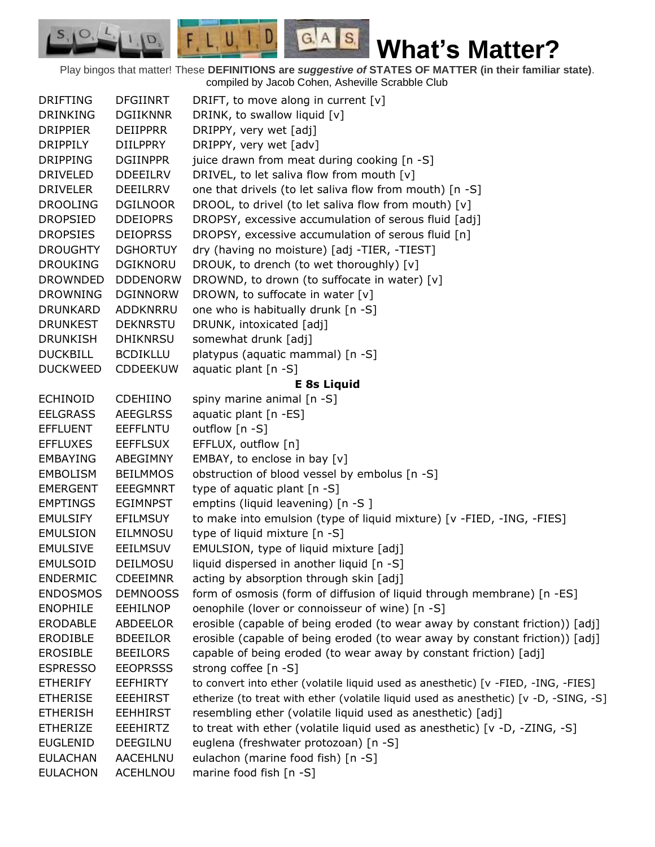$S_{1}$  $\circ$ 

D.

 $G.A.S.$ 

| DRIFTING        | <b>DFGIINRT</b> | DRIFT, to move along in current $[v]$                                                |
|-----------------|-----------------|--------------------------------------------------------------------------------------|
| <b>DRINKING</b> | <b>DGIIKNNR</b> | DRINK, to swallow liquid [v]                                                         |
| <b>DRIPPIER</b> | <b>DEIIPPRR</b> | DRIPPY, very wet [adj]                                                               |
| <b>DRIPPILY</b> | <b>DIILPPRY</b> | DRIPPY, very wet [adv]                                                               |
| <b>DRIPPING</b> | <b>DGIINPPR</b> | juice drawn from meat during cooking [n -S]                                          |
| <b>DRIVELED</b> | <b>DDEEILRV</b> | DRIVEL, to let saliva flow from mouth [v]                                            |
| <b>DRIVELER</b> | DEEILRRV        | one that drivels (to let saliva flow from mouth) [n -S]                              |
| <b>DROOLING</b> | <b>DGILNOOR</b> | DROOL, to drivel (to let saliva flow from mouth) [v]                                 |
| <b>DROPSIED</b> | <b>DDEIOPRS</b> | DROPSY, excessive accumulation of serous fluid [adj]                                 |
| <b>DROPSIES</b> | <b>DEIOPRSS</b> | DROPSY, excessive accumulation of serous fluid [n]                                   |
| <b>DROUGHTY</b> | <b>DGHORTUY</b> | dry (having no moisture) [adj -TIER, -TIEST]                                         |
| <b>DROUKING</b> | <b>DGIKNORU</b> | DROUK, to drench (to wet thoroughly) [v]                                             |
| <b>DROWNDED</b> | <b>DDDENORW</b> | DROWND, to drown (to suffocate in water) [v]                                         |
| <b>DROWNING</b> | <b>DGINNORW</b> | DROWN, to suffocate in water [v]                                                     |
| <b>DRUNKARD</b> | ADDKNRRU        | one who is habitually drunk [n -S]                                                   |
| <b>DRUNKEST</b> | <b>DEKNRSTU</b> | DRUNK, intoxicated [adj]                                                             |
| <b>DRUNKISH</b> | <b>DHIKNRSU</b> | somewhat drunk [adj]                                                                 |
| <b>DUCKBILL</b> | <b>BCDIKLLU</b> | platypus (aquatic mammal) [n -S]                                                     |
| <b>DUCKWEED</b> | <b>CDDEEKUW</b> | aquatic plant $[n -S]$                                                               |
|                 |                 | <b>E 8s Liquid</b>                                                                   |
| <b>ECHINOID</b> | <b>CDEHIINO</b> | spiny marine animal [n -S]                                                           |
| <b>EELGRASS</b> | <b>AEEGLRSS</b> | aquatic plant [n -ES]                                                                |
| <b>EFFLUENT</b> | <b>EEFFLNTU</b> | outflow [n -S]                                                                       |
| <b>EFFLUXES</b> | <b>EEFFLSUX</b> | EFFLUX, outflow [n]                                                                  |
| <b>EMBAYING</b> | ABEGIMNY        | EMBAY, to enclose in bay [v]                                                         |
| <b>EMBOLISM</b> | <b>BEILMMOS</b> | obstruction of blood vessel by embolus [n -S]                                        |
| <b>EMERGENT</b> | <b>EEEGMNRT</b> | type of aquatic plant [n -S]                                                         |
| <b>EMPTINGS</b> | <b>EGIMNPST</b> | emptins (liquid leavening) [n -S ]                                                   |
| <b>EMULSIFY</b> | <b>EFILMSUY</b> | to make into emulsion (type of liquid mixture) [v -FIED, -ING, -FIES]                |
| <b>EMULSION</b> | <b>EILMNOSU</b> | type of liquid mixture [n -S]                                                        |
| <b>EMULSIVE</b> | <b>EEILMSUV</b> | EMULSION, type of liquid mixture [adj]                                               |
| <b>EMULSOID</b> | <b>DEILMOSU</b> | liquid dispersed in another liquid [n -S]                                            |
| <b>ENDERMIC</b> | <b>CDEEIMNR</b> | acting by absorption through skin [adj]                                              |
| <b>ENDOSMOS</b> | <b>DEMNOOSS</b> | form of osmosis (form of diffusion of liquid through membrane) [n -ES]               |
| <b>ENOPHILE</b> | <b>EEHILNOP</b> | oenophile (lover or connoisseur of wine) [n -S]                                      |
| <b>ERODABLE</b> | ABDEELOR        | erosible (capable of being eroded (to wear away by constant friction)) [adj]         |
| <b>ERODIBLE</b> | <b>BDEEILOR</b> | erosible (capable of being eroded (to wear away by constant friction)) [adj]         |
| <b>EROSIBLE</b> | <b>BEEILORS</b> | capable of being eroded (to wear away by constant friction) [adj]                    |
| <b>ESPRESSO</b> | <b>EEOPRSSS</b> | strong coffee [n -S]                                                                 |
| <b>ETHERIFY</b> | <b>EEFHIRTY</b> | to convert into ether (volatile liquid used as anesthetic) [v -FIED, -ING, -FIES]    |
| <b>ETHERISE</b> | <b>EEEHIRST</b> | etherize (to treat with ether (volatile liquid used as anesthetic) [v -D, -SING, -S] |
| <b>ETHERISH</b> | <b>EEHHIRST</b> | resembling ether (volatile liquid used as anesthetic) [adj]                          |
| <b>ETHERIZE</b> | <b>EEEHIRTZ</b> | to treat with ether (volatile liquid used as anesthetic) [v -D, -ZING, -S]           |
| <b>EUGLENID</b> | DEEGILNU        | euglena (freshwater protozoan) [n -S]                                                |
| <b>EULACHAN</b> | <b>AACEHLNU</b> | eulachon (marine food fish) [n -S]                                                   |
| <b>EULACHON</b> | <b>ACEHLNOU</b> | marine food fish [n -S]                                                              |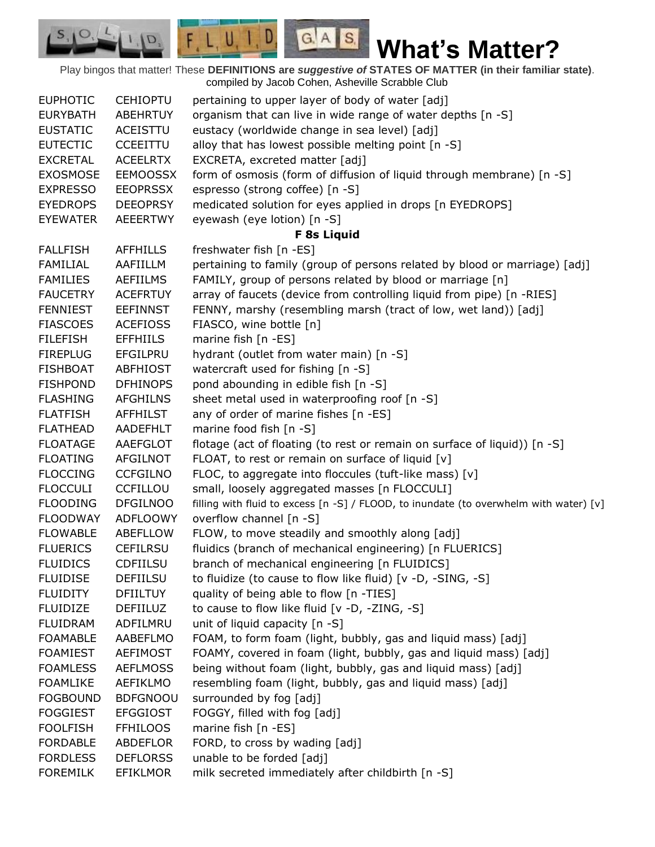$F L U, I, D$  $G.A.S.$  $|I|$ **What's Matter?** Play bingos that matter! These **DEFINITIONS are** *suggestive of* **STATES OF MATTER (in their familiar state)**. compiled by Jacob Cohen, Asheville Scrabble Club EUPHOTIC CEHIOPTU pertaining to upper layer of body of water [adj] EURYBATH ABEHRTUY organism that can live in wide range of water depths [n -S] EUSTATIC ACEISTTU eustacy (worldwide change in sea level) [adj] EUTECTIC CCEEITTU alloy that has lowest possible melting point  $[n -S]$ EXCRETAL ACEELRTX EXCRETA, excreted matter [adj] EXOSMOSE EEMOOSSX form of osmosis (form of diffusion of liquid through membrane) [n -S] EXPRESSO EEOPRSSX espresso (strong coffee) [n -S] EYEDROPS DEEOPRSY medicated solution for eyes applied in drops [n EYEDROPS] EYEWATER AEEERTWY eyewash (eye lotion) [n -S] **F 8s Liquid** FALLFISH AFFHILLS freshwater fish [n -ES] FAMILIAL AAFIILLM pertaining to family (group of persons related by blood or marriage) [adj] FAMILIES AEFIILMS FAMILY, group of persons related by blood or marriage [n] FAUCETRY ACEFRTUY array of faucets (device from controlling liquid from pipe) [n -RIES] FENNIEST EEFINNST FENNY, marshy (resembling marsh (tract of low, wet land)) [adj] FIASCOES ACEFIOSS FIASCO, wine bottle [n] FILEFISH EFFHIILS marine fish [n -ES] FIREPLUG EFGILPRU hydrant (outlet from water main) [n -S] FISHBOAT ABFHIOST watercraft used for fishing [n -S] FISHPOND DFHINOPS pond abounding in edible fish [n -S] FLASHING AFGHILNS sheet metal used in waterproofing roof [n -S] FLATFISH AFFHILST any of order of marine fishes [n -ES] FLATHEAD AADEFHLT marine food fish [n -S] FLOATAGE AAEFGLOT flotage (act of floating (to rest or remain on surface of liquid)) [n -S] FLOATING AFGILNOT FLOAT, to rest or remain on surface of liquid [v] FLOCCING CCFGILNO FLOC, to aggregate into floccules (tuft-like mass) [v] FLOCCULI CCFILLOU small, loosely aggregated masses [n FLOCCULI] FLOODING DFGILNOO filling with fluid to excess [n -S] / FLOOD, to inundate (to overwhelm with water) [v] FLOODWAY ADFLOOWY overflow channel [n -S] FLOWABLE ABEFLLOW FLOW, to move steadily and smoothly along [adj] FLUERICS CEFILRSU fluidics (branch of mechanical engineering) [n FLUERICS] FLUIDICS CDFIILSU branch of mechanical engineering [n FLUIDICS] FLUIDISE DEFIILSU to fluidize (to cause to flow like fluid) [v -D, -SING, -S] FLUIDITY DFIILTUY quality of being able to flow [n -TIES] FLUIDIZE DEFIILUZ to cause to flow like fluid [v -D, -ZING, -S] FLUIDRAM ADFILMRU unit of liquid capacity [n -S] FOAMABLE AABEFLMO FOAM, to form foam (light, bubbly, gas and liquid mass) [adj] FOAMIEST AEFIMOST FOAMY, covered in foam (light, bubbly, gas and liquid mass) [adj] FOAMLESS AEFLMOSS being without foam (light, bubbly, gas and liquid mass) [adj] FOAMLIKE AEFIKLMO resembling foam (light, bubbly, gas and liquid mass) [adj] FOGBOUND BDFGNOOU surrounded by fog [adj] FOGGIEST EFGGIOST FOGGY, filled with fog [adj] FOOLFISH FFHILOOS marine fish [n -ES] FORDABLE ABDEFLOR FORD, to cross by wading [adj] FORDLESS DEFLORSS unable to be forded [adj]

FOREMILK EFIKLMOR milk secreted immediately after childbirth [n -S]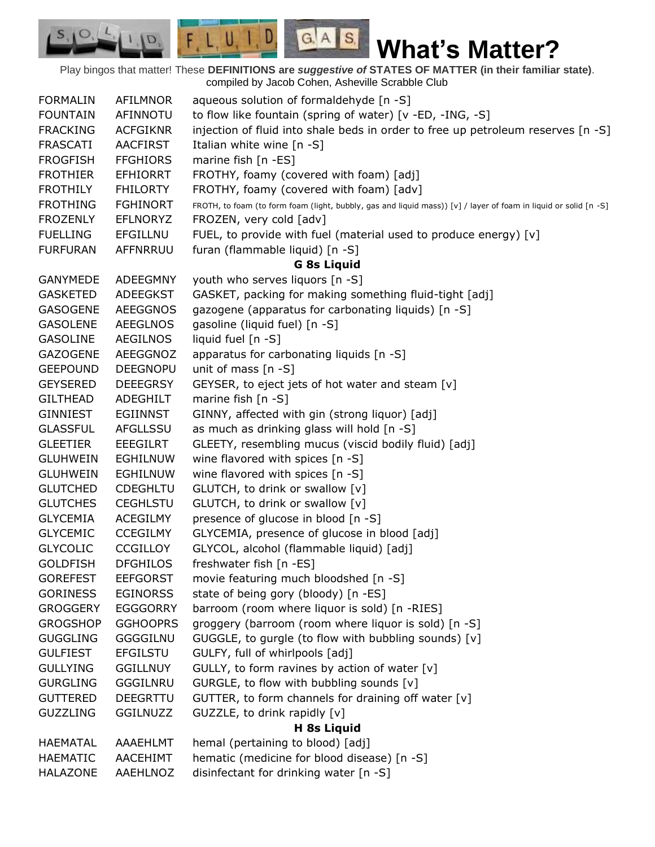$F, L, U, I, D$  $G.A.S.$ **What's Matter?**

Play bingos that matter! These **DEFINITIONS are** *suggestive of* **STATES OF MATTER (in their familiar state)**. compiled by Jacob Cohen, Asheville Scrabble Club

 $S_{1}$  $\circ$ 

D.

| <b>FORMALIN</b> | <b>AFILMNOR</b> | aqueous solution of formaldehyde [n -S]                                                                          |  |
|-----------------|-----------------|------------------------------------------------------------------------------------------------------------------|--|
| <b>FOUNTAIN</b> | AFINNOTU        | to flow like fountain (spring of water) [v -ED, -ING, -S]                                                        |  |
| <b>FRACKING</b> | <b>ACFGIKNR</b> | injection of fluid into shale beds in order to free up petroleum reserves [n -S]                                 |  |
| <b>FRASCATI</b> | <b>AACFIRST</b> | Italian white wine $[n - S]$                                                                                     |  |
| <b>FROGFISH</b> | <b>FFGHIORS</b> | marine fish [n -ES]                                                                                              |  |
| <b>FROTHIER</b> | <b>EFHIORRT</b> | FROTHY, foamy (covered with foam) [adj]                                                                          |  |
| <b>FROTHILY</b> | <b>FHILORTY</b> | FROTHY, foamy (covered with foam) [adv]                                                                          |  |
| <b>FROTHING</b> | <b>FGHINORT</b> | FROTH, to foam (to form foam (light, bubbly, gas and liquid mass)) [v] / layer of foam in liquid or solid [n -S] |  |
| <b>FROZENLY</b> | <b>EFLNORYZ</b> | FROZEN, very cold [adv]                                                                                          |  |
| <b>FUELLING</b> | EFGILLNU        | FUEL, to provide with fuel (material used to produce energy) [v]                                                 |  |
| <b>FURFURAN</b> | AFFNRRUU        | furan (flammable liquid) [n -S]                                                                                  |  |
|                 |                 | <b>G 8s Liquid</b>                                                                                               |  |
| <b>GANYMEDE</b> | <b>ADEEGMNY</b> | youth who serves liquors [n -S]                                                                                  |  |
| <b>GASKETED</b> | ADEEGKST        | GASKET, packing for making something fluid-tight [adj]                                                           |  |
| <b>GASOGENE</b> | <b>AEEGGNOS</b> | gazogene (apparatus for carbonating liquids) [n -S]                                                              |  |
| <b>GASOLENE</b> | <b>AEEGLNOS</b> | gasoline (liquid fuel) [n -S]                                                                                    |  |
| <b>GASOLINE</b> | <b>AEGILNOS</b> | liquid fuel [n -S]                                                                                               |  |
| <b>GAZOGENE</b> | AEEGGNOZ        | apparatus for carbonating liquids [n -S]                                                                         |  |
| <b>GEEPOUND</b> | <b>DEEGNOPU</b> | unit of mass $[n - S]$                                                                                           |  |
| <b>GEYSERED</b> | <b>DEEEGRSY</b> | GEYSER, to eject jets of hot water and steam [v]                                                                 |  |
| <b>GILTHEAD</b> | ADEGHILT        | marine fish $[n -S]$                                                                                             |  |
| <b>GINNIEST</b> | <b>EGIINNST</b> | GINNY, affected with gin (strong liquor) [adj]                                                                   |  |
| <b>GLASSFUL</b> | AFGLLSSU        | as much as drinking glass will hold [n -S]                                                                       |  |
| <b>GLEETIER</b> | <b>EEEGILRT</b> | GLEETY, resembling mucus (viscid bodily fluid) [adj]                                                             |  |
| <b>GLUHWEIN</b> | <b>EGHILNUW</b> | wine flavored with spices [n -S]                                                                                 |  |
| <b>GLUHWEIN</b> | <b>EGHILNUW</b> | wine flavored with spices [n -S]                                                                                 |  |
| <b>GLUTCHED</b> | <b>CDEGHLTU</b> | GLUTCH, to drink or swallow [v]                                                                                  |  |
| <b>GLUTCHES</b> | <b>CEGHLSTU</b> | GLUTCH, to drink or swallow [v]                                                                                  |  |
| <b>GLYCEMIA</b> | <b>ACEGILMY</b> | presence of glucose in blood [n -S]                                                                              |  |
| <b>GLYCEMIC</b> | <b>CCEGILMY</b> | GLYCEMIA, presence of glucose in blood [adj]                                                                     |  |
| <b>GLYCOLIC</b> | <b>CCGILLOY</b> | GLYCOL, alcohol (flammable liquid) [adj]                                                                         |  |
| <b>GOLDFISH</b> | <b>DFGHILOS</b> | freshwater fish [n -ES]                                                                                          |  |
| <b>GOREFEST</b> | <b>EEFGORST</b> | movie featuring much bloodshed [n -S]                                                                            |  |
| <b>GORINESS</b> | <b>EGINORSS</b> | state of being gory (bloody) [n -ES]                                                                             |  |
| <b>GROGGERY</b> | <b>EGGGORRY</b> | barroom (room where liquor is sold) [n -RIES]                                                                    |  |
| <b>GROGSHOP</b> | <b>GGHOOPRS</b> | groggery (barroom (room where liquor is sold) [n -S]                                                             |  |
| <b>GUGGLING</b> | <b>GGGGILNU</b> | GUGGLE, to gurgle (to flow with bubbling sounds) [v]                                                             |  |
| <b>GULFIEST</b> | <b>EFGILSTU</b> | GULFY, full of whirlpools [adj]                                                                                  |  |
| <b>GULLYING</b> | <b>GGILLNUY</b> | GULLY, to form ravines by action of water [v]                                                                    |  |
| <b>GURGLING</b> | GGGILNRU        | GURGLE, to flow with bubbling sounds [v]                                                                         |  |
| <b>GUTTERED</b> | DEEGRTTU        | GUTTER, to form channels for draining off water [v]                                                              |  |
| <b>GUZZLING</b> | <b>GGILNUZZ</b> | GUZZLE, to drink rapidly [v]                                                                                     |  |
| H 8s Liquid     |                 |                                                                                                                  |  |
| <b>HAEMATAL</b> | AAAEHLMT        | hemal (pertaining to blood) [adj]                                                                                |  |
| <b>HAEMATIC</b> | AACEHIMT        | hematic (medicine for blood disease) [n -S]                                                                      |  |
| <b>HALAZONE</b> | AAEHLNOZ        | disinfectant for drinking water [n -S]                                                                           |  |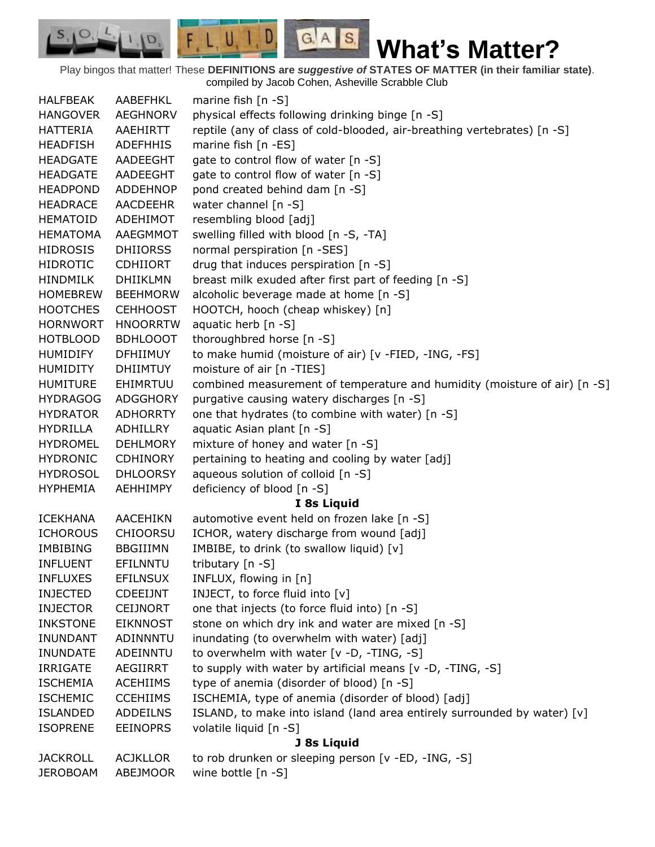$F, L, U, I, D$  $G.A.S.$  $S_{1}$  $\mathcal{O},$ D. **What's Matter?**

Play bingos that matter! These **DEFINITIONS are** *suggestive of* **STATES OF MATTER (in their familiar state)**. compiled by Jacob Cohen, Asheville Scrabble Club

| <b>HALFBEAK</b> | AABEFHKL        | marine fish $[n - S]$                                                     |  |
|-----------------|-----------------|---------------------------------------------------------------------------|--|
| <b>HANGOVER</b> | <b>AEGHNORV</b> | physical effects following drinking binge [n -S]                          |  |
| <b>HATTERIA</b> | AAEHIRTT        | reptile (any of class of cold-blooded, air-breathing vertebrates) [n -S]  |  |
| <b>HEADFISH</b> | <b>ADEFHHIS</b> | marine fish [n -ES]                                                       |  |
| <b>HEADGATE</b> | AADEEGHT        | gate to control flow of water [n -S]                                      |  |
| <b>HEADGATE</b> | AADEEGHT        | gate to control flow of water [n -S]                                      |  |
| <b>HEADPOND</b> | <b>ADDEHNOP</b> | pond created behind dam [n -S]                                            |  |
| <b>HEADRACE</b> | AACDEEHR        | water channel [n -S]                                                      |  |
| <b>HEMATOID</b> | ADEHIMOT        | resembling blood [adj]                                                    |  |
| <b>HEMATOMA</b> | AAEGMMOT        | swelling filled with blood [n -S, -TA]                                    |  |
| <b>HIDROSIS</b> | <b>DHIIORSS</b> | normal perspiration [n -SES]                                              |  |
| <b>HIDROTIC</b> | <b>CDHIIORT</b> | drug that induces perspiration [n -S]                                     |  |
| <b>HINDMILK</b> | <b>DHIIKLMN</b> | breast milk exuded after first part of feeding [n -S]                     |  |
| <b>HOMEBREW</b> | <b>BEEHMORW</b> | alcoholic beverage made at home [n -S]                                    |  |
| <b>HOOTCHES</b> | <b>CEHHOOST</b> | HOOTCH, hooch (cheap whiskey) [n]                                         |  |
| <b>HORNWORT</b> | <b>HNOORRTW</b> | aquatic herb [n -S]                                                       |  |
| <b>HOTBLOOD</b> | <b>BDHLOOOT</b> | thoroughbred horse [n -S]                                                 |  |
| <b>HUMIDIFY</b> | <b>DFHIIMUY</b> | to make humid (moisture of air) [v -FIED, -ING, -FS]                      |  |
| <b>HUMIDITY</b> | <b>DHIIMTUY</b> | moisture of air [n -TIES]                                                 |  |
| <b>HUMITURE</b> | EHIMRTUU        | combined measurement of temperature and humidity (moisture of air) [n -S] |  |
| <b>HYDRAGOG</b> | <b>ADGGHORY</b> | purgative causing watery discharges [n -S]                                |  |
| <b>HYDRATOR</b> | <b>ADHORRTY</b> | one that hydrates (to combine with water) [n -S]                          |  |
| <b>HYDRILLA</b> | ADHILLRY        | aquatic Asian plant [n -S]                                                |  |
| <b>HYDROMEL</b> | <b>DEHLMORY</b> | mixture of honey and water [n -S]                                         |  |
| <b>HYDRONIC</b> | <b>CDHINORY</b> | pertaining to heating and cooling by water [adj]                          |  |
| <b>HYDROSOL</b> | <b>DHLOORSY</b> | aqueous solution of colloid [n -S]                                        |  |
| <b>HYPHEMIA</b> | <b>AEHHIMPY</b> | deficiency of blood [n -S]                                                |  |
|                 |                 | I 8s Liquid                                                               |  |
| <b>ICEKHANA</b> | <b>AACEHIKN</b> | automotive event held on frozen lake [n -S]                               |  |
| <b>ICHOROUS</b> | <b>CHIOORSU</b> | ICHOR, watery discharge from wound [adj]                                  |  |
| <b>IMBIBING</b> | <b>BBGIIIMN</b> | IMBIBE, to drink (to swallow liquid) [v]                                  |  |
| <b>INFLUENT</b> | EFILNNTU        | tributary [n -S]                                                          |  |
| <b>INFLUXES</b> | <b>EFILNSUX</b> | INFLUX, flowing in [n]                                                    |  |
| <b>INJECTED</b> | <b>CDEEIJNT</b> | INJECT, to force fluid into [v]                                           |  |
| <b>INJECTOR</b> | <b>CEIJNORT</b> | one that injects (to force fluid into) [n -S]                             |  |
| <b>INKSTONE</b> | <b>EIKNNOST</b> | stone on which dry ink and water are mixed [n -S]                         |  |
| <b>INUNDANT</b> | <b>ADINNNTU</b> | inundating (to overwhelm with water) [adj]                                |  |
| <b>INUNDATE</b> | ADEINNTU        | to overwhelm with water [v -D, -TING, -S]                                 |  |
| <b>IRRIGATE</b> | AEGIIRRT        | to supply with water by artificial means [v -D, -TING, -S]                |  |
| <b>ISCHEMIA</b> | <b>ACEHIIMS</b> | type of anemia (disorder of blood) [n -S]                                 |  |
| <b>ISCHEMIC</b> | <b>CCEHIIMS</b> | ISCHEMIA, type of anemia (disorder of blood) [adj]                        |  |
| <b>ISLANDED</b> | <b>ADDEILNS</b> | ISLAND, to make into island (land area entirely surrounded by water) [v]  |  |
| <b>ISOPRENE</b> | <b>EEINOPRS</b> | volatile liquid [n -S]                                                    |  |
| J 8s Liquid     |                 |                                                                           |  |
| <b>JACKROLL</b> | <b>ACJKLLOR</b> | to rob drunken or sleeping person [v -ED, -ING, -S]                       |  |
| <b>JEROBOAM</b> | ABEJMOOR        | wine bottle [n -S]                                                        |  |
|                 |                 |                                                                           |  |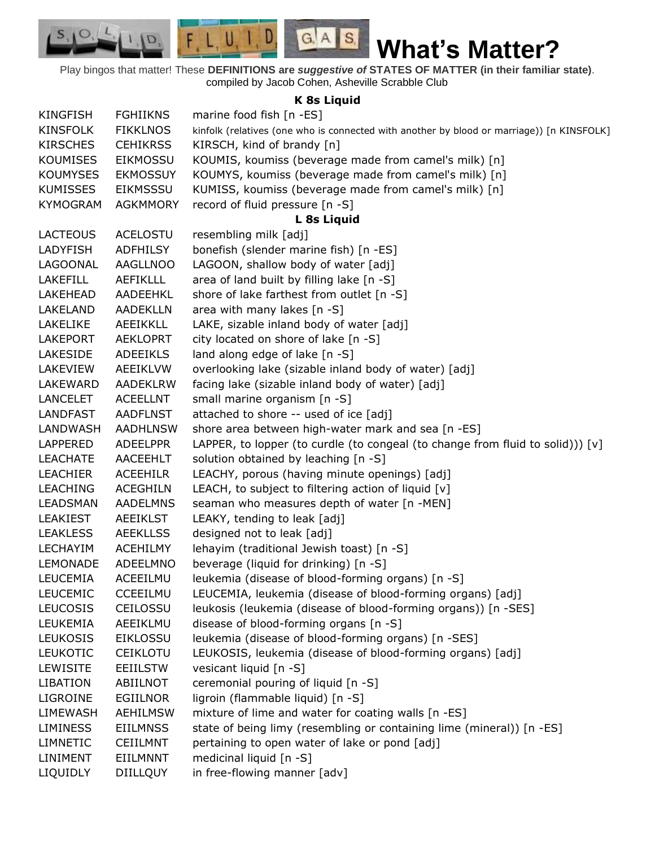$F, L, U, I, D$ 

D.

 $S_{1}$  $\circ$ 

## **K 8s Liquid**

 $G.A.S.$ 

| <b>KINGFISH</b> | <b>FGHIIKNS</b> | marine food fish [n -ES]                                                                  |
|-----------------|-----------------|-------------------------------------------------------------------------------------------|
| <b>KINSFOLK</b> | <b>FIKKLNOS</b> | kinfolk (relatives (one who is connected with another by blood or marriage)) [n KINSFOLK] |
| <b>KIRSCHES</b> | <b>CEHIKRSS</b> | KIRSCH, kind of brandy [n]                                                                |
| <b>KOUMISES</b> | <b>EIKMOSSU</b> | KOUMIS, koumiss (beverage made from camel's milk) [n]                                     |
| <b>KOUMYSES</b> | <b>EKMOSSUY</b> | KOUMYS, koumiss (beverage made from camel's milk) [n]                                     |
| <b>KUMISSES</b> | <b>EIKMSSSU</b> | KUMISS, koumiss (beverage made from camel's milk) [n]                                     |
| <b>KYMOGRAM</b> | <b>AGKMMORY</b> | record of fluid pressure [n -S]                                                           |
|                 |                 | L 8s Liquid                                                                               |
| <b>LACTEOUS</b> | <b>ACELOSTU</b> | resembling milk [adj]                                                                     |
| <b>LADYFISH</b> | <b>ADFHILSY</b> | bonefish (slender marine fish) [n -ES]                                                    |
| LAGOONAL        | <b>AAGLLNOO</b> | LAGOON, shallow body of water [adj]                                                       |
| <b>LAKEFILL</b> | <b>AEFIKLLL</b> | area of land built by filling lake [n -S]                                                 |
| LAKEHEAD        | AADEEHKL        | shore of lake farthest from outlet [n -S]                                                 |
| LAKELAND        | <b>AADEKLLN</b> | area with many lakes [n -S]                                                               |
| LAKELIKE        | <b>AEEIKKLL</b> | LAKE, sizable inland body of water [adj]                                                  |
| <b>LAKEPORT</b> | <b>AEKLOPRT</b> | city located on shore of lake [n -S]                                                      |
| LAKESIDE        | <b>ADEEIKLS</b> | land along edge of lake [n -S]                                                            |
| LAKEVIEW        | <b>AEEIKLVW</b> | overlooking lake (sizable inland body of water) [adj]                                     |
| <b>LAKEWARD</b> | AADEKLRW        | facing lake (sizable inland body of water) [adj]                                          |
| <b>LANCELET</b> | <b>ACEELLNT</b> | small marine organism [n -S]                                                              |
| LANDFAST        | <b>AADFLNST</b> | attached to shore -- used of ice [adj]                                                    |
| LANDWASH        | <b>AADHLNSW</b> | shore area between high-water mark and sea [n -ES]                                        |
| <b>LAPPERED</b> | <b>ADEELPPR</b> | LAPPER, to lopper (to curdle (to congeal (to change from fluid to solid))) $[v]$          |
| <b>LEACHATE</b> | AACEEHLT        | solution obtained by leaching [n -S]                                                      |
| <b>LEACHIER</b> | <b>ACEEHILR</b> | LEACHY, porous (having minute openings) [adj]                                             |
| <b>LEACHING</b> | <b>ACEGHILN</b> | LEACH, to subject to filtering action of liquid $[v]$                                     |
| <b>LEADSMAN</b> | <b>AADELMNS</b> | seaman who measures depth of water [n -MEN]                                               |
| LEAKIEST        | <b>AEEIKLST</b> | LEAKY, tending to leak [adj]                                                              |
| <b>LEAKLESS</b> | <b>AEEKLLSS</b> | designed not to leak [adj]                                                                |
| <b>LECHAYIM</b> | <b>ACEHILMY</b> | lehayim (traditional Jewish toast) [n -S]                                                 |
| <b>LEMONADE</b> | ADEELMNO        | beverage (liquid for drinking) [n -S]                                                     |
| <b>LEUCEMIA</b> | ACEEILMU        | leukemia (disease of blood-forming organs) [n -S]                                         |
| <b>LEUCEMIC</b> | CCEEILMU        | LEUCEMIA, leukemia (disease of blood-forming organs) [adj]                                |
| <b>LEUCOSIS</b> | CEILOSSU        | leukosis (leukemia (disease of blood-forming organs)) [n -SES]                            |
| LEUKEMIA        | AEEIKLMU        | disease of blood-forming organs [n -S]                                                    |
| <b>LEUKOSIS</b> | <b>EIKLOSSU</b> | leukemia (disease of blood-forming organs) [n -SES]                                       |
| <b>LEUKOTIC</b> | <b>CEIKLOTU</b> | LEUKOSIS, leukemia (disease of blood-forming organs) [adj]                                |
| <b>LEWISITE</b> | <b>EEIILSTW</b> | vesicant liquid [n -S]                                                                    |
| <b>LIBATION</b> | <b>ABIILNOT</b> | ceremonial pouring of liquid [n -S]                                                       |
| LIGROINE        | <b>EGIILNOR</b> | ligroin (flammable liquid) [n -S]                                                         |
| LIMEWASH        | <b>AEHILMSW</b> | mixture of lime and water for coating walls [n -ES]                                       |
| <b>LIMINESS</b> | <b>EIILMNSS</b> | state of being limy (resembling or containing lime (mineral)) [n -ES]                     |
| LIMNETIC        | <b>CEIILMNT</b> | pertaining to open water of lake or pond [adj]                                            |
| LINIMENT        | EIILMNNT        | medicinal liquid [n -S]                                                                   |
| LIQUIDLY        | <b>DIILLQUY</b> | in free-flowing manner [adv]                                                              |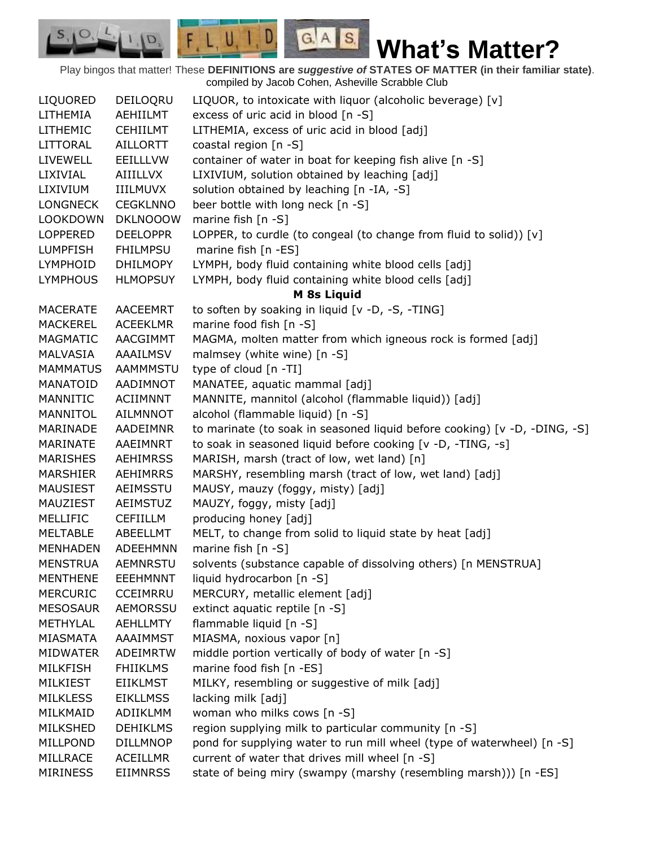$G.A.S.$ **What's Matter?**

Play bingos that matter! These **DEFINITIONS are** *suggestive of* **STATES OF MATTER (in their familiar state)**. compiled by Jacob Cohen, Asheville Scrabble Club LIQUORED DEILOQRU LIQUOR, to intoxicate with liquor (alcoholic beverage) [v] LITHEMIA AEHIILMT excess of uric acid in blood [n -S] LITHEMIC CEHIILMT LITHEMIA, excess of uric acid in blood [adj] LITTORAL AILLORTT coastal region [n -S] LIVEWELL EEILLLVW container of water in boat for keeping fish alive [n -S] LIXIVIAL AIIILLVX LIXIVIUM, solution obtained by leaching [adj] LIXIVIUM IIILMUVX solution obtained by leaching [n -IA, -S] LONGNECK CEGKLNNO beer bottle with long neck [n -S] LOOKDOWN DKLNOOOW marine fish [n -S] LOPPERED DEELOPPR LOPPER, to curdle (to congeal (to change from fluid to solid)) [v] LUMPFISH FHILMPSU marine fish [n -ES] LYMPHOID DHILMOPY LYMPH, body fluid containing white blood cells [adj] LYMPHOUS HLMOPSUY LYMPH, body fluid containing white blood cells [adj] **M 8s Liquid** MACERATE AACEEMRT to soften by soaking in liquid [v -D, -S, -TING] MACKEREL ACEEKLMR marine food fish [n -S] MAGMATIC AACGIMMT MAGMA, molten matter from which igneous rock is formed [adj] MALVASIA AAAILMSV malmsey (white wine) [n -S] MAMMATUS AAMMMSTU type of cloud [n -TI] MANATOID AADIMNOT MANATEE, aquatic mammal [adj] MANNITIC ACIIMNNT MANNITE, mannitol (alcohol (flammable liquid)) [adj] MANNITOL AILMNNOT alcohol (flammable liquid) [n -S] MARINADE AADEIMNR to marinate (to soak in seasoned liquid before cooking) [v -D, -DING, -S] MARINATE AAEIMNRT to soak in seasoned liquid before cooking [v -D, -TING, -s] MARISHES AEHIMRSS MARISH, marsh (tract of low, wet land) [n] MARSHIER AEHIMRRS MARSHY, resembling marsh (tract of low, wet land) [adj] MAUSIEST AEIMSSTU MAUSY, mauzy (foggy, misty) [adj] MAUZIEST AEIMSTUZ MAUZY, foggy, misty [adj] MELLIFIC CEFIILLM producing honey [adj] MELTABLE ABEELLMT MELT, to change from solid to liquid state by heat [adj] MENHADEN ADEEHMNN marine fish [n -S] MENSTRUA AEMNRSTU solvents (substance capable of dissolving others) [n MENSTRUA] MENTHENE EEEHMNNT liquid hydrocarbon [n -S] MERCURIC CCEIMRRU MERCURY, metallic element [adj] MESOSAUR AEMORSSU extinct aquatic reptile [n -S] METHYLAL AEHLLMTY flammable liquid [n -S] MIASMATA AAAIMMST MIASMA, noxious vapor [n] MIDWATER ADEIMRTW middle portion vertically of body of water [n -S] MILKFISH FHIIKLMS marine food fish [n -ES] MILKIEST EIIKLMST MILKY, resembling or suggestive of milk [adj] MILKLESS EIKLLMSS lacking milk [adj] MILKMAID ADIIKLMM woman who milks cows [n -S] MILKSHED DEHIKLMS region supplying milk to particular community [n -S] MILLPOND DILLMNOP pond for supplying water to run mill wheel (type of waterwheel) [n -S] MILLRACE ACEILLMR current of water that drives mill wheel [n -S] MIRINESS EIIMNRSS state of being miry (swampy (marshy (resembling marsh))) [n -ES]

 $F L U, I, D$ 

 $|I|$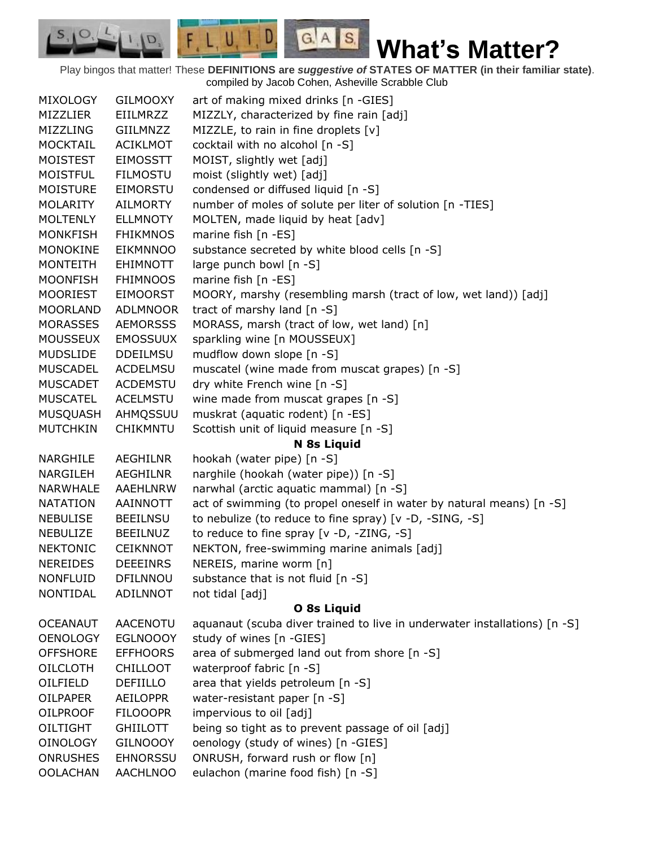**What's Matter?**

Play bingos that matter! These **DEFINITIONS are** *suggestive of* **STATES OF MATTER (in their familiar state)**. compiled by Jacob Cohen, Asheville Scrabble Club

 $G.A.S.$ 

 $F, L, U, I, D,$ 

D.

| <b>MIXOLOGY</b>                    | <b>GILMOOXY</b>                    | art of making mixed drinks [n -GIES]                                      |
|------------------------------------|------------------------------------|---------------------------------------------------------------------------|
| MIZZLIER                           | EIILMRZZ                           | MIZZLY, characterized by fine rain [adj]                                  |
| MIZZLING                           | GIILMNZZ                           | MIZZLE, to rain in fine droplets [v]                                      |
| <b>MOCKTAIL</b>                    | <b>ACIKLMOT</b>                    | cocktail with no alcohol [n -S]                                           |
| <b>MOISTEST</b>                    | <b>EIMOSSTT</b>                    | MOIST, slightly wet [adj]                                                 |
| <b>MOISTFUL</b>                    | <b>FILMOSTU</b>                    | moist (slightly wet) [adj]                                                |
| <b>MOISTURE</b>                    | EIMORSTU                           | condensed or diffused liquid [n -S]                                       |
| MOLARITY                           | <b>AILMORTY</b>                    | number of moles of solute per liter of solution [n -TIES]                 |
| MOLTENLY                           | <b>ELLMNOTY</b>                    | MOLTEN, made liquid by heat [adv]                                         |
| <b>MONKFISH</b>                    | <b>FHIKMNOS</b>                    | marine fish [n -ES]                                                       |
| <b>MONOKINE</b>                    | <b>EIKMNNOO</b>                    | substance secreted by white blood cells [n -S]                            |
| MONTEITH                           | <b>EHIMNOTT</b>                    | large punch bowl [n -S]                                                   |
| <b>MOONFISH</b>                    | <b>FHIMNOOS</b>                    | marine fish [n -ES]                                                       |
| <b>MOORIEST</b>                    | <b>EIMOORST</b>                    | MOORY, marshy (resembling marsh (tract of low, wet land)) [adj]           |
| <b>MOORLAND</b>                    | <b>ADLMNOOR</b>                    | tract of marshy land [n -S]                                               |
| <b>MORASSES</b>                    | <b>AEMORSSS</b>                    | MORASS, marsh (tract of low, wet land) [n]                                |
| <b>MOUSSEUX</b>                    | <b>EMOSSUUX</b>                    | sparkling wine [n MOUSSEUX]                                               |
| <b>MUDSLIDE</b>                    | <b>DDEILMSU</b>                    | mudflow down slope [n -S]                                                 |
| <b>MUSCADEL</b>                    | ACDELMSU                           | muscatel (wine made from muscat grapes) [n -S]                            |
| <b>MUSCADET</b>                    | <b>ACDEMSTU</b>                    | dry white French wine [n -S]                                              |
| <b>MUSCATEL</b>                    | <b>ACELMSTU</b>                    | wine made from muscat grapes [n -S]                                       |
| <b>MUSQUASH</b>                    | AHMQSSUU                           | muskrat (aquatic rodent) [n -ES]                                          |
| <b>MUTCHKIN</b>                    | <b>CHIKMNTU</b>                    | Scottish unit of liquid measure [n -S]                                    |
|                                    |                                    | N 8s Liquid                                                               |
| NARGHILE                           | AEGHILNR                           | hookah (water pipe) [n -S]                                                |
| <b>NARGILEH</b>                    | AEGHILNR                           | narghile (hookah (water pipe)) [n -S]                                     |
| NARWHALE                           | AAEHLNRW                           | narwhal (arctic aquatic mammal) [n -S]                                    |
| <b>NATATION</b>                    | AAINNOTT                           | act of swimming (to propel oneself in water by natural means) [n -S]      |
| <b>NEBULISE</b>                    |                                    |                                                                           |
| <b>NEBULIZE</b>                    | <b>BEEILNSU</b>                    | to nebulize (to reduce to fine spray) [v -D, -SING, -S]                   |
|                                    | <b>BEEILNUZ</b>                    | to reduce to fine spray [v -D, -ZING, -S]                                 |
| <b>NEKTONIC</b>                    | <b>CEIKNNOT</b>                    | NEKTON, free-swimming marine animals [adj]                                |
| <b>NEREIDES</b>                    | <b>DEEEINRS</b>                    | NEREIS, marine worm [n]                                                   |
| <b>NONFLUID</b>                    | DFILNNOU                           | substance that is not fluid [n -S]                                        |
| NONTIDAL                           | <b>ADILNNOT</b>                    | not tidal [adj]                                                           |
|                                    |                                    | O 8s Liquid                                                               |
| <b>OCEANAUT</b>                    | AACENOTU                           | aquanaut (scuba diver trained to live in underwater installations) [n -S] |
| <b>OENOLOGY</b>                    | <b>EGLNOOOY</b>                    | study of wines [n -GIES]                                                  |
| <b>OFFSHORE</b>                    | <b>EFFHOORS</b>                    | area of submerged land out from shore [n -S]                              |
| <b>OILCLOTH</b>                    | <b>CHILLOOT</b>                    | waterproof fabric [n -S]                                                  |
| OILFIELD                           | DEFIILLO                           | area that yields petroleum [n -S]                                         |
| <b>OILPAPER</b>                    | <b>AEILOPPR</b>                    | water-resistant paper [n -S]                                              |
| <b>OILPROOF</b>                    | <b>FILOOOPR</b>                    | impervious to oil [adj]                                                   |
| OILTIGHT                           | <b>GHIILOTT</b>                    | being so tight as to prevent passage of oil [adj]                         |
| <b>OINOLOGY</b>                    | <b>GILNOOOY</b>                    | oenology (study of wines) [n -GIES]                                       |
| <b>ONRUSHES</b><br><b>OOLACHAN</b> | <b>EHNORSSU</b><br><b>AACHLNOO</b> | ONRUSH, forward rush or flow [n]<br>eulachon (marine food fish) [n -S]    |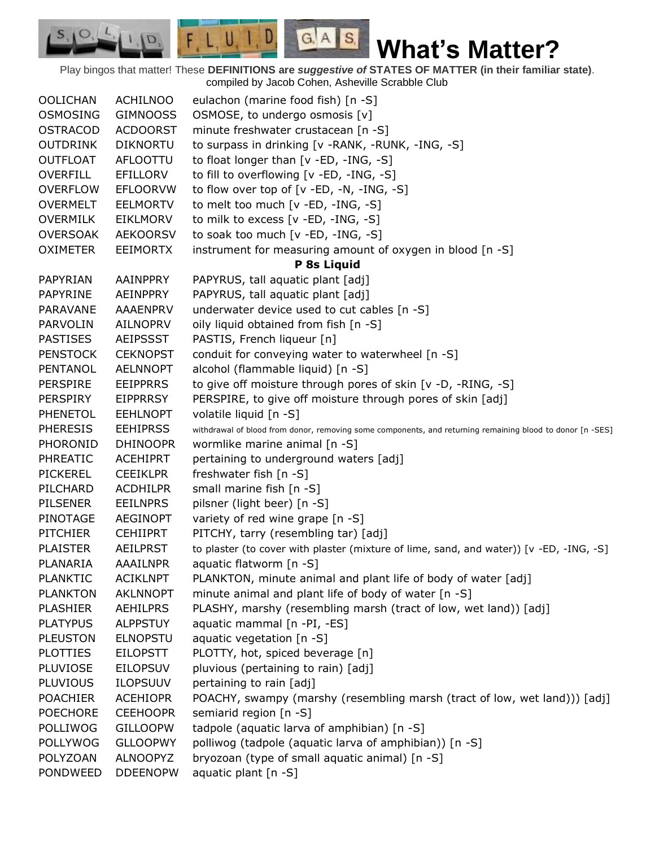**What's Matter?**

Play bingos that matter! These **DEFINITIONS are** *suggestive of* **STATES OF MATTER (in their familiar state)**. compiled by Jacob Cohen, Asheville Scrabble Club

 $G.A.S.$ 

 $F, L, U, I, D,$ 

D.

| <b>OOLICHAN</b> | <b>ACHILNOO</b> | eulachon (marine food fish) [n -S]                                                                        |
|-----------------|-----------------|-----------------------------------------------------------------------------------------------------------|
| <b>OSMOSING</b> | <b>GIMNOOSS</b> | OSMOSE, to undergo osmosis [v]                                                                            |
| <b>OSTRACOD</b> | <b>ACDOORST</b> | minute freshwater crustacean [n -S]                                                                       |
| <b>OUTDRINK</b> | <b>DIKNORTU</b> | to surpass in drinking [v - RANK, - RUNK, - ING, -S]                                                      |
| <b>OUTFLOAT</b> | AFLOOTTU        | to float longer than [v -ED, -ING, -S]                                                                    |
| <b>OVERFILL</b> | <b>EFILLORV</b> | to fill to overflowing [v -ED, -ING, -S]                                                                  |
| <b>OVERFLOW</b> | <b>EFLOORVW</b> | to flow over top of $[v - ED, -N, -ING, -S]$                                                              |
| <b>OVERMELT</b> | <b>EELMORTV</b> | to melt too much [v -ED, -ING, -S]                                                                        |
| <b>OVERMILK</b> | <b>EIKLMORV</b> | to milk to excess [v -ED, -ING, -S]                                                                       |
| <b>OVERSOAK</b> | <b>AEKOORSV</b> | to soak too much [v -ED, -ING, -S]                                                                        |
| <b>OXIMETER</b> | <b>EEIMORTX</b> | instrument for measuring amount of oxygen in blood [n -S]                                                 |
|                 |                 | P 8s Liquid                                                                                               |
| PAPYRIAN        | AAINPPRY        | PAPYRUS, tall aquatic plant [adj]                                                                         |
| PAPYRINE        | AEINPPRY        | PAPYRUS, tall aquatic plant [adj]                                                                         |
| PARAVANE        | <b>AAAENPRV</b> | underwater device used to cut cables [n -S]                                                               |
| <b>PARVOLIN</b> | <b>AILNOPRV</b> | oily liquid obtained from fish [n -S]                                                                     |
| <b>PASTISES</b> | <b>AEIPSSST</b> | PASTIS, French liqueur [n]                                                                                |
| <b>PENSTOCK</b> | <b>CEKNOPST</b> | conduit for conveying water to waterwheel [n -S]                                                          |
| PENTANOL        | <b>AELNNOPT</b> | alcohol (flammable liquid) [n -S]                                                                         |
| <b>PERSPIRE</b> | <b>EEIPPRRS</b> | to give off moisture through pores of skin [v -D, -RING, -S]                                              |
| <b>PERSPIRY</b> | <b>EIPPRRSY</b> | PERSPIRE, to give off moisture through pores of skin [adj]                                                |
| <b>PHENETOL</b> | <b>EEHLNOPT</b> | volatile liquid [n -S]                                                                                    |
| <b>PHERESIS</b> | <b>EEHIPRSS</b> | withdrawal of blood from donor, removing some components, and returning remaining blood to donor [n -SES] |
| PHORONID        | <b>DHINOOPR</b> | wormlike marine animal [n -S]                                                                             |
| <b>PHREATIC</b> | <b>ACEHIPRT</b> | pertaining to underground waters [adj]                                                                    |
| <b>PICKEREL</b> | <b>CEEIKLPR</b> | freshwater fish [n -S]                                                                                    |
| PILCHARD        | <b>ACDHILPR</b> | small marine fish [n -S]                                                                                  |
| <b>PILSENER</b> | <b>EEILNPRS</b> | pilsner (light beer) [n -S]                                                                               |
| PINOTAGE        | <b>AEGINOPT</b> | variety of red wine grape [n -S]                                                                          |
| <b>PITCHIER</b> | <b>CEHIIPRT</b> | PITCHY, tarry (resembling tar) [adj]                                                                      |
| <b>PLAISTER</b> | <b>AEILPRST</b> | to plaster (to cover with plaster (mixture of lime, sand, and water)) [v -ED, -ING, -S]                   |
| PLANARIA        | <b>AAAILNPR</b> | aquatic flatworm [n -S]                                                                                   |
| <b>PLANKTIC</b> | <b>ACIKLNPT</b> | PLANKTON, minute animal and plant life of body of water [adj]                                             |
| <b>PLANKTON</b> | <b>AKLNNOPT</b> | minute animal and plant life of body of water [n -S]                                                      |
| <b>PLASHIER</b> | <b>AEHILPRS</b> | PLASHY, marshy (resembling marsh (tract of low, wet land)) [adj]                                          |
| <b>PLATYPUS</b> | <b>ALPPSTUY</b> | aquatic mammal [n -PI, -ES]                                                                               |
| <b>PLEUSTON</b> | <b>ELNOPSTU</b> | aquatic vegetation [n -S]                                                                                 |
| <b>PLOTTIES</b> | <b>EILOPSTT</b> | PLOTTY, hot, spiced beverage [n]                                                                          |
| PLUVIOSE        | <b>EILOPSUV</b> | pluvious (pertaining to rain) [adj]                                                                       |
| PLUVIOUS        | <b>ILOPSUUV</b> | pertaining to rain [adj]                                                                                  |
| <b>POACHIER</b> | <b>ACEHIOPR</b> | POACHY, swampy (marshy (resembling marsh (tract of low, wet land))) [adj]                                 |
| <b>POECHORE</b> | <b>CEEHOOPR</b> | semiarid region [n -S]                                                                                    |
| <b>POLLIWOG</b> | <b>GILLOOPW</b> | tadpole (aquatic larva of amphibian) [n -S]                                                               |
| POLLYWOG        | <b>GLLOOPWY</b> | polliwog (tadpole (aquatic larva of amphibian)) [n -S]                                                    |
| POLYZOAN        | <b>ALNOOPYZ</b> | bryozoan (type of small aquatic animal) [n -S]                                                            |
| PONDWEED        | <b>DDEENOPW</b> | aquatic plant [n -S]                                                                                      |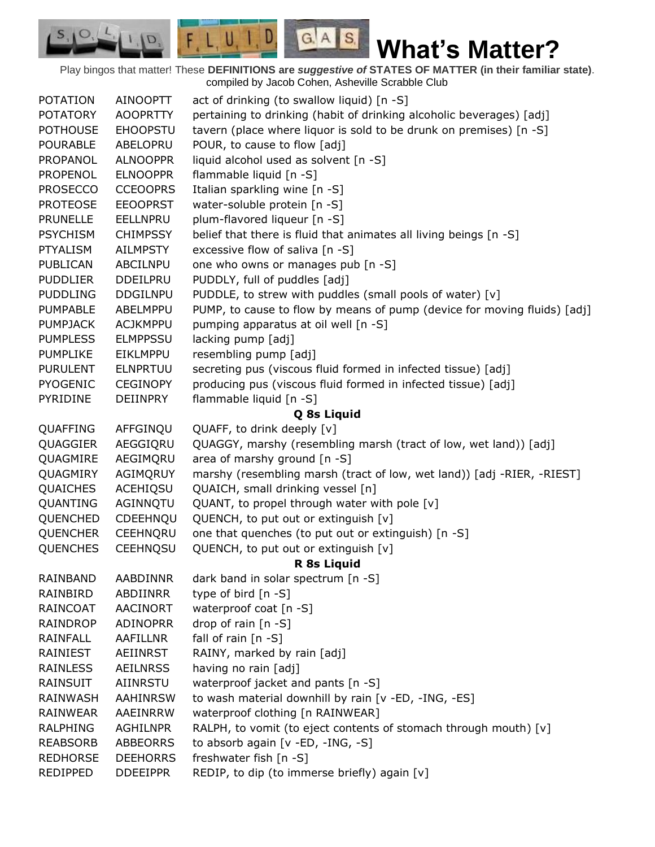$F, L, U, I, D$ **What's Matter?** Play bingos that matter! These **DEFINITIONS are** *suggestive of* **STATES OF MATTER (in their familiar state)**.

 $S_{1}$  $\mathcal{O},$ 

D.

 $G.A.S.$ 

|                 |                 | compiled by Jacob Cohen, Asheville Scrabble Club                         |
|-----------------|-----------------|--------------------------------------------------------------------------|
| <b>POTATION</b> | AINOOPTT        | act of drinking (to swallow liquid) [n -S]                               |
| <b>POTATORY</b> | <b>AOOPRTTY</b> | pertaining to drinking (habit of drinking alcoholic beverages) [adj]     |
| <b>POTHOUSE</b> | <b>EHOOPSTU</b> | tavern (place where liquor is sold to be drunk on premises) [n -S]       |
| <b>POURABLE</b> | ABELOPRU        | POUR, to cause to flow [adj]                                             |
| PROPANOL        | <b>ALNOOPPR</b> | liquid alcohol used as solvent [n -S]                                    |
| <b>PROPENOL</b> | <b>ELNOOPPR</b> | flammable liquid [n -S]                                                  |
| <b>PROSECCO</b> | <b>CCEOOPRS</b> | Italian sparkling wine [n -S]                                            |
| <b>PROTEOSE</b> | <b>EEOOPRST</b> | water-soluble protein [n -S]                                             |
| <b>PRUNELLE</b> | EELLNPRU        | plum-flavored liqueur [n -S]                                             |
| <b>PSYCHISM</b> | <b>CHIMPSSY</b> | belief that there is fluid that animates all living beings [n -S]        |
| <b>PTYALISM</b> | <b>AILMPSTY</b> | excessive flow of saliva [n -S]                                          |
| <b>PUBLICAN</b> | <b>ABCILNPU</b> | one who owns or manages pub [n -S]                                       |
| <b>PUDDLIER</b> | <b>DDEILPRU</b> | PUDDLY, full of puddles [adj]                                            |
| <b>PUDDLING</b> | <b>DDGILNPU</b> | PUDDLE, to strew with puddles (small pools of water) [v]                 |
| <b>PUMPABLE</b> | ABELMPPU        | PUMP, to cause to flow by means of pump (device for moving fluids) [adj] |
| <b>PUMPJACK</b> | <b>ACJKMPPU</b> | pumping apparatus at oil well [n -S]                                     |
| <b>PUMPLESS</b> | <b>ELMPPSSU</b> | lacking pump [adj]                                                       |
| <b>PUMPLIKE</b> | EIKLMPPU        | resembling pump [adj]                                                    |
| <b>PURULENT</b> | <b>ELNPRTUU</b> | secreting pus (viscous fluid formed in infected tissue) [adj]            |
| <b>PYOGENIC</b> | <b>CEGINOPY</b> | producing pus (viscous fluid formed in infected tissue) [adj]            |
| PYRIDINE        | <b>DEIINPRY</b> | flammable liquid [n -S]                                                  |
|                 |                 | Q 8s Liquid                                                              |
| QUAFFING        | AFFGINQU        | QUAFF, to drink deeply [v]                                               |
| QUAGGIER        | AEGGIQRU        | QUAGGY, marshy (resembling marsh (tract of low, wet land)) [adj]         |
| QUAGMIRE        | AEGIMQRU        | area of marshy ground [n -S]                                             |
| QUAGMIRY        | AGIMQRUY        | marshy (resembling marsh (tract of low, wet land)) [adj -RIER, -RIEST]   |
| <b>QUAICHES</b> | ACEHIQSU        | QUAICH, small drinking vessel [n]                                        |
| QUANTING        | AGINNQTU        | QUANT, to propel through water with pole [v]                             |
| QUENCHED        | CDEEHNQU        | QUENCH, to put out or extinguish [v]                                     |
| <b>QUENCHER</b> | CEEHNQRU        | one that quenches (to put out or extinguish) [n -S]                      |
| <b>QUENCHES</b> | <b>CEEHNQSU</b> | QUENCH, to put out or extinguish [v]                                     |
|                 |                 | R 8s Liquid                                                              |
| RAINBAND        | AABDINNR        | dark band in solar spectrum [n -S]                                       |
| RAINBIRD        | <b>ABDIINRR</b> | type of bird $[n - S]$                                                   |
| <b>RAINCOAT</b> | AACINORT        | waterproof coat [n -S]                                                   |
| RAINDROP        | <b>ADINOPRR</b> | drop of rain [n -S]                                                      |
| <b>RAINFALL</b> | <b>AAFILLNR</b> | fall of rain $[n -S]$                                                    |
| RAINIEST        | <b>AEIINRST</b> | RAINY, marked by rain [adj]                                              |
| <b>RAINLESS</b> | <b>AEILNRSS</b> | having no rain [adj]                                                     |
| <b>RAINSUIT</b> | AIINRSTU        | waterproof jacket and pants [n -S]                                       |
| RAINWASH        | <b>AAHINRSW</b> | to wash material downhill by rain [v -ED, -ING, -ES]                     |
| RAINWEAR        | AAEINRRW        | waterproof clothing [n RAINWEAR]                                         |
| <b>RALPHING</b> | AGHILNPR        | RALPH, to vomit (to eject contents of stomach through mouth) [v]         |
| <b>REABSORB</b> | <b>ABBEORRS</b> | to absorb again [v -ED, -ING, -S]                                        |
| <b>REDHORSE</b> | <b>DEEHORRS</b> | freshwater fish [n -S]                                                   |
| REDIPPED        | <b>DDEEIPPR</b> | REDIP, to dip (to immerse briefly) again [v]                             |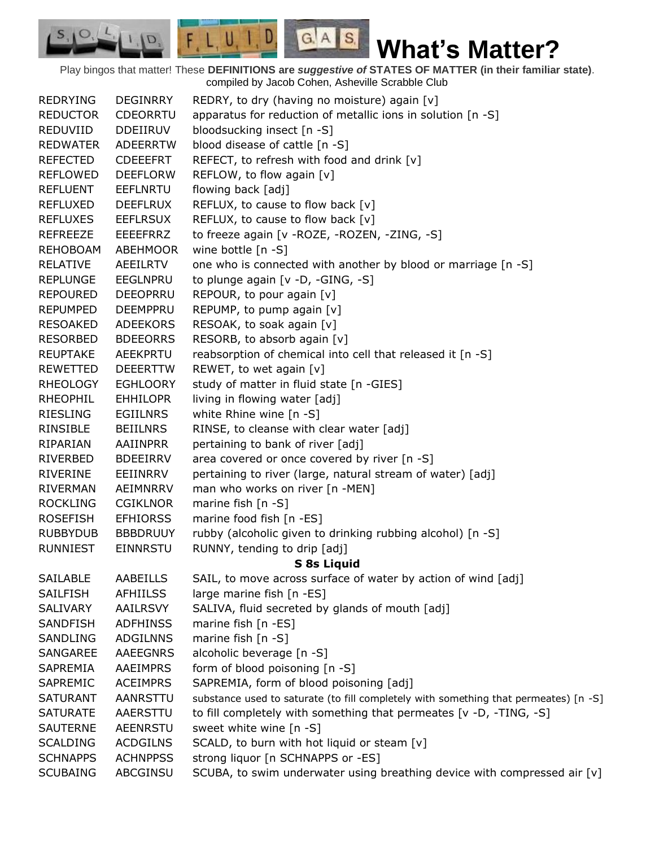$G.A.S.$ 

 $F, L, U, I, D$ 

D.

 $S_{1}$  $\mathcal{O},$ 

| <b>REDRYING</b> | <b>DEGINRRY</b> | REDRY, to dry (having no moisture) again [v]                                         |
|-----------------|-----------------|--------------------------------------------------------------------------------------|
| <b>REDUCTOR</b> | <b>CDEORRTU</b> | apparatus for reduction of metallic ions in solution [n -S]                          |
| REDUVIID        | <b>DDEIIRUV</b> | bloodsucking insect [n -S]                                                           |
| <b>REDWATER</b> | <b>ADEERRTW</b> | blood disease of cattle [n -S]                                                       |
| <b>REFECTED</b> | <b>CDEEEFRT</b> | REFECT, to refresh with food and drink [v]                                           |
| <b>REFLOWED</b> | <b>DEEFLORW</b> | REFLOW, to flow again [v]                                                            |
| <b>REFLUENT</b> | <b>EEFLNRTU</b> | flowing back [adj]                                                                   |
| <b>REFLUXED</b> | <b>DEEFLRUX</b> | REFLUX, to cause to flow back [v]                                                    |
| <b>REFLUXES</b> | <b>EEFLRSUX</b> | REFLUX, to cause to flow back [v]                                                    |
| <b>REFREEZE</b> | <b>EEEEFRRZ</b> | to freeze again [v - ROZE, - ROZEN, - ZING, - S]                                     |
| REHOBOAM        | ABEHMOOR        | wine bottle [n -S]                                                                   |
| <b>RELATIVE</b> | <b>AEEILRTV</b> | one who is connected with another by blood or marriage [n -S]                        |
| <b>REPLUNGE</b> | <b>EEGLNPRU</b> | to plunge again [v -D, -GING, -S]                                                    |
| <b>REPOURED</b> | <b>DEEOPRRU</b> | REPOUR, to pour again [v]                                                            |
| <b>REPUMPED</b> | <b>DEEMPPRU</b> | REPUMP, to pump again [v]                                                            |
| <b>RESOAKED</b> | <b>ADEEKORS</b> | RESOAK, to soak again [v]                                                            |
| <b>RESORBED</b> | <b>BDEEORRS</b> | RESORB, to absorb again [v]                                                          |
| <b>REUPTAKE</b> | <b>AEEKPRTU</b> | reabsorption of chemical into cell that released it [n -S]                           |
| REWETTED        | <b>DEEERTTW</b> | REWET, to wet again [v]                                                              |
| <b>RHEOLOGY</b> | <b>EGHLOORY</b> | study of matter in fluid state [n -GIES]                                             |
| <b>RHEOPHIL</b> | <b>EHHILOPR</b> | living in flowing water [adj]                                                        |
| <b>RIESLING</b> | <b>EGIILNRS</b> | white Rhine wine [n -S]                                                              |
| RINSIBLE        | <b>BEIILNRS</b> | RINSE, to cleanse with clear water [adj]                                             |
| RIPARIAN        | AAIINPRR        | pertaining to bank of river [adj]                                                    |
| RIVERBED        | <b>BDEEIRRV</b> | area covered or once covered by river [n -S]                                         |
| RIVERINE        | EEIINRRV        | pertaining to river (large, natural stream of water) [adj]                           |
| <b>RIVERMAN</b> | AEIMNRRV        | man who works on river [n -MEN]                                                      |
| <b>ROCKLING</b> | <b>CGIKLNOR</b> | marine fish $[n - S]$                                                                |
| <b>ROSEFISH</b> | <b>EFHIORSS</b> | marine food fish [n -ES]                                                             |
| <b>RUBBYDUB</b> | <b>BBBDRUUY</b> | rubby (alcoholic given to drinking rubbing alcohol) [n -S]                           |
| <b>RUNNIEST</b> | <b>EINNRSTU</b> | RUNNY, tending to drip [adj]                                                         |
|                 |                 | <b>S 8s Liquid</b>                                                                   |
| <b>SAILABLE</b> | AABEILLS        | SAIL, to move across surface of water by action of wind [adj]                        |
| <b>SAILFISH</b> | <b>AFHIILSS</b> | large marine fish [n -ES]                                                            |
| <b>SALIVARY</b> | <b>AAILRSVY</b> | SALIVA, fluid secreted by glands of mouth [adj]                                      |
| SANDFISH        | <b>ADFHINSS</b> | marine fish [n -ES]                                                                  |
| SANDLING        | <b>ADGILNNS</b> | marine fish [n -S]                                                                   |
| SANGAREE        | <b>AAEEGNRS</b> | alcoholic beverage [n -S]                                                            |
| SAPREMIA        | AAEIMPRS        | form of blood poisoning [n -S]                                                       |
| SAPREMIC        | <b>ACEIMPRS</b> | SAPREMIA, form of blood poisoning [adj]                                              |
| <b>SATURANT</b> | AANRSTTU        | substance used to saturate (to fill completely with something that permeates) [n -S] |
| <b>SATURATE</b> | AAERSTTU        | to fill completely with something that permeates [v -D, -TING, -S]                   |
| <b>SAUTERNE</b> | <b>AEENRSTU</b> | sweet white wine [n -S]                                                              |
| <b>SCALDING</b> | <b>ACDGILNS</b> | SCALD, to burn with hot liquid or steam [v]                                          |
| <b>SCHNAPPS</b> | <b>ACHNPPSS</b> | strong liquor [n SCHNAPPS or -ES]                                                    |
| <b>SCUBAING</b> | ABCGINSU        | SCUBA, to swim underwater using breathing device with compressed air [v]             |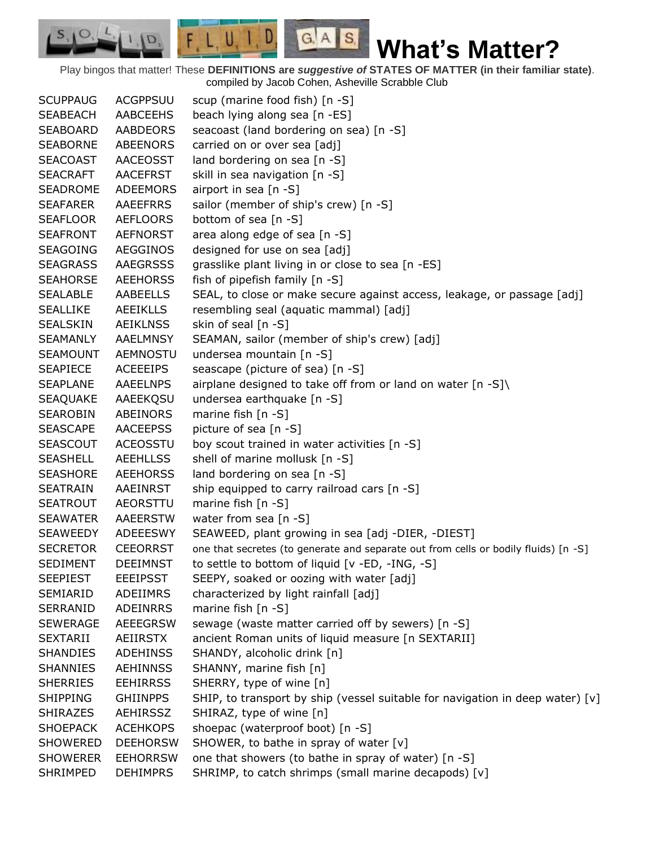$G.A.S.$ **What's Matter?**

Play bingos that matter! These **DEFINITIONS are** *suggestive of* **STATES OF MATTER (in their familiar state)**. compiled by Jacob Cohen, Asheville Scrabble Club

 $F, L, U, I, D,$ 

D.

| <b>SCUPPAUG</b> | <b>ACGPPSUU</b> | scup (marine food fish) [n -S]                                                      |
|-----------------|-----------------|-------------------------------------------------------------------------------------|
| <b>SEABEACH</b> | AABCEEHS        | beach lying along sea [n -ES]                                                       |
| <b>SEABOARD</b> | <b>AABDEORS</b> | seacoast (land bordering on sea) [n -S]                                             |
| <b>SEABORNE</b> | <b>ABEENORS</b> | carried on or over sea [adj]                                                        |
| <b>SEACOAST</b> | AACEOSST        | land bordering on sea [n -S]                                                        |
| <b>SEACRAFT</b> | <b>AACEFRST</b> | skill in sea navigation [n -S]                                                      |
| <b>SEADROME</b> | <b>ADEEMORS</b> | airport in sea [n -S]                                                               |
| <b>SEAFARER</b> | AAEEFRRS        | sailor (member of ship's crew) [n -S]                                               |
| <b>SEAFLOOR</b> | <b>AEFLOORS</b> | bottom of sea [n -S]                                                                |
| <b>SEAFRONT</b> | <b>AEFNORST</b> | area along edge of sea [n -S]                                                       |
| <b>SEAGOING</b> | <b>AEGGINOS</b> | designed for use on sea [adj]                                                       |
| <b>SEAGRASS</b> | <b>AAEGRSSS</b> | grasslike plant living in or close to sea [n -ES]                                   |
| <b>SEAHORSE</b> | <b>AEEHORSS</b> | fish of pipefish family [n -S]                                                      |
| <b>SEALABLE</b> | AABEELLS        | SEAL, to close or make secure against access, leakage, or passage [adj]             |
| <b>SEALLIKE</b> | <b>AEEIKLLS</b> | resembling seal (aquatic mammal) [adj]                                              |
| <b>SEALSKIN</b> | <b>AEIKLNSS</b> | skin of seal [n -S]                                                                 |
| <b>SEAMANLY</b> | <b>AAELMNSY</b> | SEAMAN, sailor (member of ship's crew) [adj]                                        |
| <b>SEAMOUNT</b> | AEMNOSTU        | undersea mountain [n -S]                                                            |
| <b>SEAPIECE</b> | <b>ACEEEIPS</b> | seascape (picture of sea) [n -S]                                                    |
| <b>SEAPLANE</b> | <b>AAEELNPS</b> | airplane designed to take off from or land on water $[n - S]$                       |
| <b>SEAQUAKE</b> | AAEEKQSU        | undersea earthquake [n -S]                                                          |
| <b>SEAROBIN</b> | ABEINORS        | marine fish $[n - S]$                                                               |
| <b>SEASCAPE</b> | <b>AACEEPSS</b> | picture of sea [n -S]                                                               |
| <b>SEASCOUT</b> | <b>ACEOSSTU</b> | boy scout trained in water activities [n -S]                                        |
| <b>SEASHELL</b> | <b>AEEHLLSS</b> | shell of marine mollusk [n -S]                                                      |
| <b>SEASHORE</b> | <b>AEEHORSS</b> | land bordering on sea [n -S]                                                        |
| <b>SEATRAIN</b> | AAEINRST        | ship equipped to carry railroad cars [n -S]                                         |
| <b>SEATROUT</b> | AEORSTTU        | marine fish $[n - S]$                                                               |
| <b>SEAWATER</b> | AAEERSTW        | water from sea $[n -S]$                                                             |
| SEAWEEDY        | ADEEESWY        | SEAWEED, plant growing in sea [adj -DIER, -DIEST]                                   |
| <b>SECRETOR</b> | <b>CEEORRST</b> | one that secretes (to generate and separate out from cells or bodily fluids) [n -S] |
| <b>SEDIMENT</b> | <b>DEEIMNST</b> | to settle to bottom of liquid [v -ED, -ING, -S]                                     |
| <b>SEEPIEST</b> | <b>EEEIPSST</b> | SEEPY, soaked or oozing with water [adj]                                            |
| <b>SEMIARID</b> | ADEIIMRS        | characterized by light rainfall [adj]                                               |
| <b>SERRANID</b> | <b>ADEINRRS</b> | marine fish $[n -S]$                                                                |
| <b>SEWERAGE</b> | <b>AEEEGRSW</b> | sewage (waste matter carried off by sewers) [n -S]                                  |
| <b>SEXTARII</b> | AEIIRSTX        | ancient Roman units of liquid measure [n SEXTARII]                                  |
| <b>SHANDIES</b> | <b>ADEHINSS</b> | SHANDY, alcoholic drink [n]                                                         |
| <b>SHANNIES</b> | <b>AEHINNSS</b> | SHANNY, marine fish [n]                                                             |
| <b>SHERRIES</b> | <b>EEHIRRSS</b> | SHERRY, type of wine [n]                                                            |
| <b>SHIPPING</b> | <b>GHIINPPS</b> | SHIP, to transport by ship (vessel suitable for navigation in deep water) $[v]$     |
| <b>SHIRAZES</b> | AEHIRSSZ        | SHIRAZ, type of wine [n]                                                            |
| <b>SHOEPACK</b> | <b>ACEHKOPS</b> | shoepac (waterproof boot) [n -S]                                                    |
| <b>SHOWERED</b> | <b>DEEHORSW</b> | SHOWER, to bathe in spray of water $[v]$                                            |
| <b>SHOWERER</b> | <b>EEHORRSW</b> | one that showers (to bathe in spray of water) [n -S]                                |
| SHRIMPED        | <b>DEHIMPRS</b> | SHRIMP, to catch shrimps (small marine decapods) [v]                                |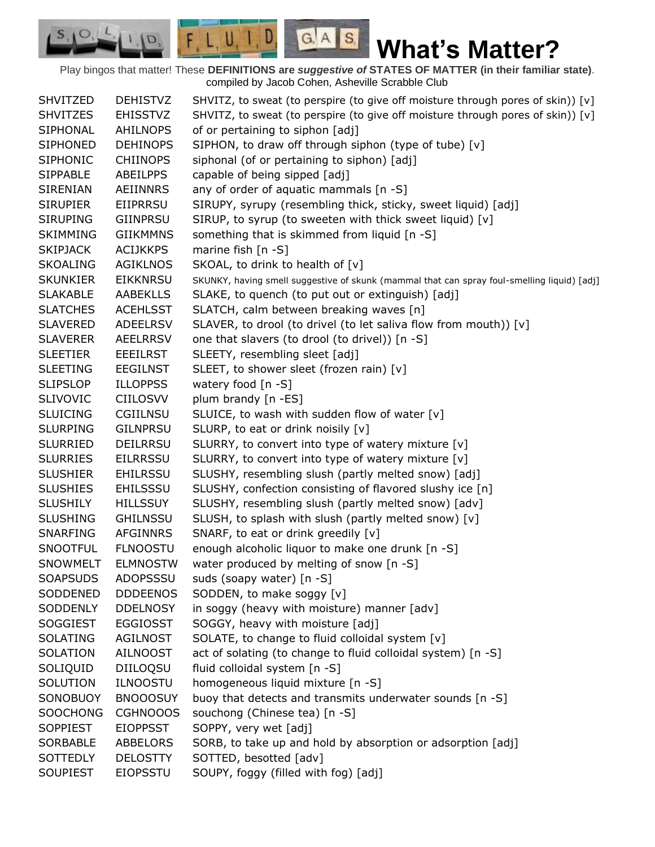$G.A.S.$ 

 $F, L, U, I, D,$ 

D.

| <b>SHVITZED</b> | <b>DEHISTVZ</b> | SHVITZ, to sweat (to perspire (to give off moisture through pores of skin)) [v]             |
|-----------------|-----------------|---------------------------------------------------------------------------------------------|
| <b>SHVITZES</b> | <b>EHISSTVZ</b> | SHVITZ, to sweat (to perspire (to give off moisture through pores of skin)) [v]             |
| <b>SIPHONAL</b> | <b>AHILNOPS</b> | of or pertaining to siphon [adj]                                                            |
| <b>SIPHONED</b> | <b>DEHINOPS</b> | SIPHON, to draw off through siphon (type of tube) [v]                                       |
| <b>SIPHONIC</b> | <b>CHIINOPS</b> | siphonal (of or pertaining to siphon) [adj]                                                 |
| <b>SIPPABLE</b> | ABEILPPS        | capable of being sipped [adj]                                                               |
| <b>SIRENIAN</b> | AEIINNRS        | any of order of aquatic mammals [n -S]                                                      |
| <b>SIRUPIER</b> | EIIPRRSU        | SIRUPY, syrupy (resembling thick, sticky, sweet liquid) [adj]                               |
| <b>SIRUPING</b> | <b>GIINPRSU</b> | SIRUP, to syrup (to sweeten with thick sweet liquid) [v]                                    |
| <b>SKIMMING</b> | <b>GIIKMMNS</b> | something that is skimmed from liquid [n -S]                                                |
| <b>SKIPJACK</b> | <b>ACIJKKPS</b> | marine fish $[n - S]$                                                                       |
| <b>SKOALING</b> | <b>AGIKLNOS</b> | SKOAL, to drink to health of [v]                                                            |
| <b>SKUNKIER</b> | <b>EIKKNRSU</b> | SKUNKY, having smell suggestive of skunk (mammal that can spray foul-smelling liquid) [adj] |
| <b>SLAKABLE</b> | <b>AABEKLLS</b> | SLAKE, to quench (to put out or extinguish) [adj]                                           |
| <b>SLATCHES</b> | <b>ACEHLSST</b> | SLATCH, calm between breaking waves [n]                                                     |
| <b>SLAVERED</b> | <b>ADEELRSV</b> | SLAVER, to drool (to drivel (to let saliva flow from mouth)) [v]                            |
| <b>SLAVERER</b> | <b>AEELRRSV</b> | one that slavers (to drool (to drivel)) [n -S]                                              |
| <b>SLEETIER</b> | <b>EEEILRST</b> | SLEETY, resembling sleet [adj]                                                              |
| <b>SLEETING</b> | <b>EEGILNST</b> | SLEET, to shower sleet (frozen rain) [v]                                                    |
| <b>SLIPSLOP</b> | <b>ILLOPPSS</b> | watery food $[n - S]$                                                                       |
| <b>SLIVOVIC</b> | <b>CIILOSVV</b> | plum brandy [n -ES]                                                                         |
| <b>SLUICING</b> | CGIILNSU        | SLUICE, to wash with sudden flow of water [v]                                               |
| <b>SLURPING</b> | <b>GILNPRSU</b> | SLURP, to eat or drink noisily [v]                                                          |
| <b>SLURRIED</b> | <b>DEILRRSU</b> | SLURRY, to convert into type of watery mixture [v]                                          |
| <b>SLURRIES</b> | <b>EILRRSSU</b> | SLURRY, to convert into type of watery mixture [v]                                          |
| <b>SLUSHIER</b> | <b>EHILRSSU</b> | SLUSHY, resembling slush (partly melted snow) [adj]                                         |
| <b>SLUSHIES</b> | <b>EHILSSSU</b> | SLUSHY, confection consisting of flavored slushy ice [n]                                    |
| <b>SLUSHILY</b> | <b>HILLSSUY</b> | SLUSHY, resembling slush (partly melted snow) [adv]                                         |
| <b>SLUSHING</b> | <b>GHILNSSU</b> | SLUSH, to splash with slush (partly melted snow) [v]                                        |
| SNARFING        | AFGINNRS        | SNARF, to eat or drink greedily [v]                                                         |
| <b>SNOOTFUL</b> | <b>FLNOOSTU</b> | enough alcoholic liquor to make one drunk [n -S]                                            |
| <b>SNOWMELT</b> | <b>ELMNOSTW</b> | water produced by melting of snow [n -S]                                                    |
| <b>SOAPSUDS</b> | ADOPSSSU        | suds (soapy water) [n -S]                                                                   |
| SODDENED        | <b>DDDEENOS</b> | SODDEN, to make soggy [v]                                                                   |
| SODDENLY        | <b>DDELNOSY</b> | in soggy (heavy with moisture) manner [adv]                                                 |
| <b>SOGGIEST</b> | <b>EGGIOSST</b> | SOGGY, heavy with moisture [adj]                                                            |
| <b>SOLATING</b> | <b>AGILNOST</b> | SOLATE, to change to fluid colloidal system [v]                                             |
| <b>SOLATION</b> | AILNOOST        | act of solating (to change to fluid colloidal system) [n -S]                                |
| SOLIQUID        | DIILOQSU        | fluid colloidal system [n -S]                                                               |
| SOLUTION        | <b>ILNOOSTU</b> | homogeneous liquid mixture [n -S]                                                           |
| SONOBUOY        | <b>BNOOOSUY</b> | buoy that detects and transmits underwater sounds [n -S]                                    |
| <b>SOOCHONG</b> | <b>CGHNOOOS</b> | souchong (Chinese tea) [n -S]                                                               |
| <b>SOPPIEST</b> | <b>EIOPPSST</b> | SOPPY, very wet [adj]                                                                       |
| <b>SORBABLE</b> | ABBELORS        | SORB, to take up and hold by absorption or adsorption [adj]                                 |
| <b>SOTTEDLY</b> | <b>DELOSTTY</b> | SOTTED, besotted [adv]                                                                      |
| <b>SOUPIEST</b> | <b>EIOPSSTU</b> | SOUPY, foggy (filled with fog) [adj]                                                        |
|                 |                 |                                                                                             |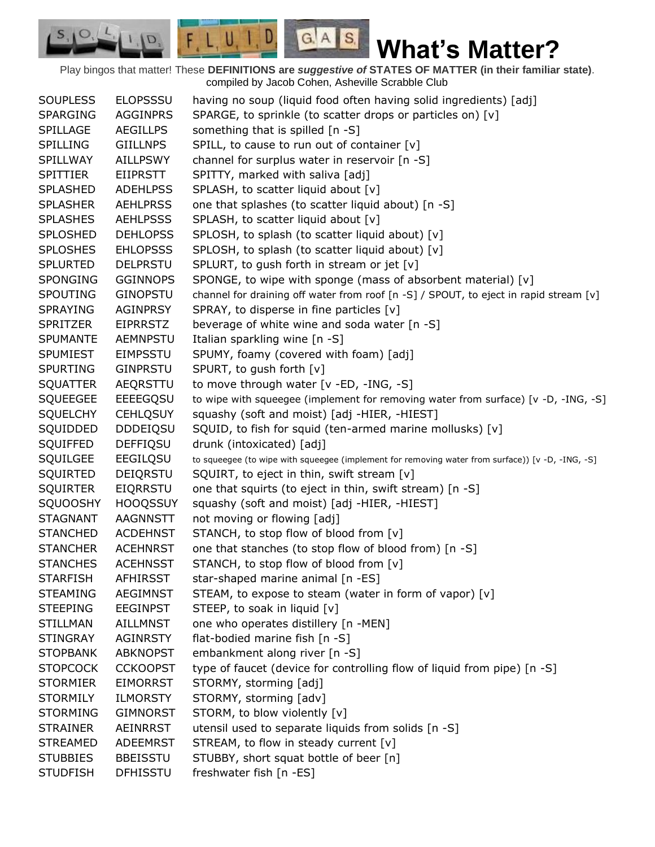$G.A.S.$ 

 $F, L, U, I, D,$ 

D.

| <b>SOUPLESS</b> | <b>ELOPSSSU</b> | having no soup (liquid food often having solid ingredients) [adj]                                |
|-----------------|-----------------|--------------------------------------------------------------------------------------------------|
| <b>SPARGING</b> | <b>AGGINPRS</b> | SPARGE, to sprinkle (to scatter drops or particles on) [v]                                       |
| SPILLAGE        | <b>AEGILLPS</b> | something that is spilled [n -S]                                                                 |
| SPILLING        | <b>GIILLNPS</b> | SPILL, to cause to run out of container [v]                                                      |
| SPILLWAY        | <b>AILLPSWY</b> | channel for surplus water in reservoir [n -S]                                                    |
| <b>SPITTIER</b> | <b>EIIPRSTT</b> | SPITTY, marked with saliva [adj]                                                                 |
| <b>SPLASHED</b> | <b>ADEHLPSS</b> | SPLASH, to scatter liquid about [v]                                                              |
| <b>SPLASHER</b> | <b>AEHLPRSS</b> | one that splashes (to scatter liquid about) [n -S]                                               |
| <b>SPLASHES</b> | <b>AEHLPSSS</b> | SPLASH, to scatter liquid about [v]                                                              |
| SPLOSHED        | <b>DEHLOPSS</b> | SPLOSH, to splash (to scatter liquid about) [v]                                                  |
| <b>SPLOSHES</b> | <b>EHLOPSSS</b> | SPLOSH, to splash (to scatter liquid about) [v]                                                  |
| <b>SPLURTED</b> | <b>DELPRSTU</b> | SPLURT, to gush forth in stream or jet [v]                                                       |
| <b>SPONGING</b> | <b>GGINNOPS</b> | SPONGE, to wipe with sponge (mass of absorbent material) [v]                                     |
| SPOUTING        | <b>GINOPSTU</b> | channel for draining off water from roof [n -S] / SPOUT, to eject in rapid stream [v]            |
| <b>SPRAYING</b> | <b>AGINPRSY</b> | SPRAY, to disperse in fine particles [v]                                                         |
| <b>SPRITZER</b> | <b>EIPRRSTZ</b> | beverage of white wine and soda water [n -S]                                                     |
| <b>SPUMANTE</b> | <b>AEMNPSTU</b> | Italian sparkling wine [n -S]                                                                    |
| <b>SPUMIEST</b> | <b>EIMPSSTU</b> | SPUMY, foamy (covered with foam) [adj]                                                           |
| <b>SPURTING</b> | <b>GINPRSTU</b> | SPURT, to gush forth [v]                                                                         |
| <b>SQUATTER</b> | AEQRSTTU        | to move through water [v -ED, -ING, -S]                                                          |
| <b>SQUEEGEE</b> | EEEEGQSU        | to wipe with squeegee (implement for removing water from surface) [v -D, -ING, -S]               |
| <b>SQUELCHY</b> | <b>CEHLQSUY</b> | squashy (soft and moist) [adj -HIER, -HIEST]                                                     |
| SQUIDDED        | <b>DDDEIQSU</b> | SQUID, to fish for squid (ten-armed marine mollusks) [v]                                         |
| SQUIFFED        | <b>DEFFIQSU</b> | drunk (intoxicated) [adj]                                                                        |
| SQUILGEE        | EEGILQSU        | to squeegee (to wipe with squeegee (implement for removing water from surface)) [v -D, -ING, -S] |
| SQUIRTED        | DEIQRSTU        | SQUIRT, to eject in thin, swift stream [v]                                                       |
| <b>SQUIRTER</b> | EIQRRSTU        | one that squirts (to eject in thin, swift stream) [n -S]                                         |
| <b>SQUOOSHY</b> | <b>HOOQSSUY</b> | squashy (soft and moist) [adj -HIER, -HIEST]                                                     |
| <b>STAGNANT</b> | AAGNNSTT        | not moving or flowing [adj]                                                                      |
| <b>STANCHED</b> | <b>ACDEHNST</b> | STANCH, to stop flow of blood from [v]                                                           |
| <b>STANCHER</b> | <b>ACEHNRST</b> | one that stanches (to stop flow of blood from) [n -S]                                            |
| <b>STANCHES</b> | <b>ACEHNSST</b> | STANCH, to stop flow of blood from [v]                                                           |
| <b>STARFISH</b> | <b>AFHIRSST</b> | star-shaped marine animal [n -ES]                                                                |
| <b>STEAMING</b> | <b>AEGIMNST</b> | STEAM, to expose to steam (water in form of vapor) [v]                                           |
| <b>STEEPING</b> | <b>EEGINPST</b> | STEEP, to soak in liquid [v]                                                                     |
| <b>STILLMAN</b> | <b>AILLMNST</b> | one who operates distillery [n -MEN]                                                             |
| <b>STINGRAY</b> | <b>AGINRSTY</b> | flat-bodied marine fish [n -S]                                                                   |
| <b>STOPBANK</b> | <b>ABKNOPST</b> | embankment along river [n -S]                                                                    |
| <b>STOPCOCK</b> | <b>CCKOOPST</b> | type of faucet (device for controlling flow of liquid from pipe) [n -S]                          |
| <b>STORMIER</b> | <b>EIMORRST</b> | STORMY, storming [adj]                                                                           |
| <b>STORMILY</b> | <b>ILMORSTY</b> | STORMY, storming [adv]                                                                           |
| <b>STORMING</b> | <b>GIMNORST</b> | STORM, to blow violently [v]                                                                     |
| <b>STRAINER</b> | AEINRRST        | utensil used to separate liquids from solids [n -S]                                              |
| <b>STREAMED</b> | <b>ADEEMRST</b> | STREAM, to flow in steady current [v]                                                            |
| <b>STUBBIES</b> | <b>BBEISSTU</b> | STUBBY, short squat bottle of beer [n]                                                           |
| <b>STUDFISH</b> | <b>DFHISSTU</b> | freshwater fish [n -ES]                                                                          |
|                 |                 |                                                                                                  |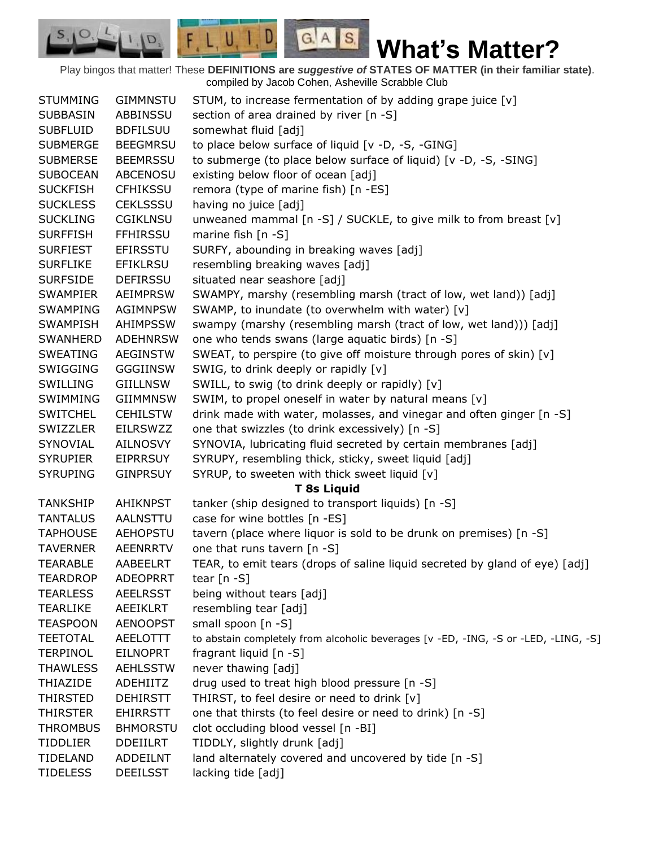$G.A.S.$ 

 $F, L, U, I, D$ 

D.

| <b>STUMMING</b> | <b>GIMMNSTU</b> | STUM, to increase fermentation of by adding grape juice [v]                         |
|-----------------|-----------------|-------------------------------------------------------------------------------------|
| <b>SUBBASIN</b> | ABBINSSU        | section of area drained by river [n -S]                                             |
| <b>SUBFLUID</b> | <b>BDFILSUU</b> | somewhat fluid [adj]                                                                |
| <b>SUBMERGE</b> | <b>BEEGMRSU</b> | to place below surface of liquid [v -D, -S, -GING]                                  |
| <b>SUBMERSE</b> | <b>BEEMRSSU</b> | to submerge (to place below surface of liquid) [v -D, -S, -SING]                    |
| <b>SUBOCEAN</b> | <b>ABCENOSU</b> | existing below floor of ocean [adj]                                                 |
| <b>SUCKFISH</b> | <b>CFHIKSSU</b> | remora (type of marine fish) [n -ES]                                                |
| <b>SUCKLESS</b> | <b>CEKLSSSU</b> | having no juice [adj]                                                               |
| <b>SUCKLING</b> | <b>CGIKLNSU</b> | unweaned mammal [n -S] / SUCKLE, to give milk to from breast [v]                    |
| <b>SURFFISH</b> | <b>FFHIRSSU</b> | marine fish [n -S]                                                                  |
| <b>SURFIEST</b> | <b>EFIRSSTU</b> | SURFY, abounding in breaking waves [adj]                                            |
| <b>SURFLIKE</b> | <b>EFIKLRSU</b> | resembling breaking waves [adj]                                                     |
| <b>SURFSIDE</b> | DEFIRSSU        | situated near seashore [adj]                                                        |
| SWAMPIER        | AEIMPRSW        | SWAMPY, marshy (resembling marsh (tract of low, wet land)) [adj]                    |
| <b>SWAMPING</b> | <b>AGIMNPSW</b> | SWAMP, to inundate (to overwhelm with water) [v]                                    |
| <b>SWAMPISH</b> | <b>AHIMPSSW</b> | swampy (marshy (resembling marsh (tract of low, wet land))) [adj]                   |
| <b>SWANHERD</b> | <b>ADEHNRSW</b> | one who tends swans (large aquatic birds) [n -S]                                    |
| <b>SWEATING</b> | <b>AEGINSTW</b> | SWEAT, to perspire (to give off moisture through pores of skin) [v]                 |
| SWIGGING        | <b>GGGIINSW</b> | SWIG, to drink deeply or rapidly [v]                                                |
| <b>SWILLING</b> | GIILLNSW        | SWILL, to swig (to drink deeply or rapidly) [v]                                     |
| SWIMMING        | <b>GIIMMNSW</b> | SWIM, to propel oneself in water by natural means [v]                               |
| <b>SWITCHEL</b> | <b>CEHILSTW</b> | drink made with water, molasses, and vinegar and often ginger [n -S]                |
| SWIZZLER        | <b>EILRSWZZ</b> | one that swizzles (to drink excessively) [n -S]                                     |
| SYNOVIAL        | AILNOSVY        | SYNOVIA, lubricating fluid secreted by certain membranes [adj]                      |
| <b>SYRUPIER</b> | <b>EIPRRSUY</b> | SYRUPY, resembling thick, sticky, sweet liquid [adj]                                |
| <b>SYRUPING</b> | <b>GINPRSUY</b> | SYRUP, to sweeten with thick sweet liquid [v]                                       |
|                 |                 | <b>T 8s Liquid</b>                                                                  |
| <b>TANKSHIP</b> | <b>AHIKNPST</b> | tanker (ship designed to transport liquids) [n -S]                                  |
| <b>TANTALUS</b> | AALNSTTU        | case for wine bottles [n -ES]                                                       |
| <b>TAPHOUSE</b> | <b>AEHOPSTU</b> | tavern (place where liquor is sold to be drunk on premises) [n -S]                  |
| <b>TAVERNER</b> | <b>AEENRRTV</b> | one that runs tavern [n -S]                                                         |
| <b>TEARABLE</b> | <b>AABEELRT</b> | TEAR, to emit tears (drops of saline liquid secreted by gland of eye) [adj]         |
| <b>TEARDROP</b> | <b>ADEOPRRT</b> | tear $[n - S]$                                                                      |
| <b>TEARLESS</b> | <b>AEELRSST</b> | being without tears [adj]                                                           |
| TEARLIKE        | AEEIKLRT        | resembling tear [adj]                                                               |
| <b>TEASPOON</b> | <b>AENOOPST</b> | small spoon [n -S]                                                                  |
| <b>TEETOTAL</b> | AEELOTTT        | to abstain completely from alcoholic beverages [v -ED, -ING, -S or -LED, -LING, -S] |
| <b>TERPINOL</b> | <b>EILNOPRT</b> | fragrant liquid [n -S]                                                              |
| <b>THAWLESS</b> | <b>AEHLSSTW</b> | never thawing [adj]                                                                 |
| <b>THIAZIDE</b> | ADEHIITZ        | drug used to treat high blood pressure [n -S]                                       |
| THIRSTED        | <b>DEHIRSTT</b> | THIRST, to feel desire or need to drink [v]                                         |
| THIRSTER        | <b>EHIRRSTT</b> | one that thirsts (to feel desire or need to drink) [n -S]                           |
| <b>THROMBUS</b> | <b>BHMORSTU</b> | clot occluding blood vessel [n -BI]                                                 |
| <b>TIDDLIER</b> | <b>DDEIILRT</b> | TIDDLY, slightly drunk [adj]                                                        |
| TIDELAND        | ADDEILNT        | land alternately covered and uncovered by tide [n -S]                               |
| <b>TIDELESS</b> | <b>DEEILSST</b> | lacking tide [adj]                                                                  |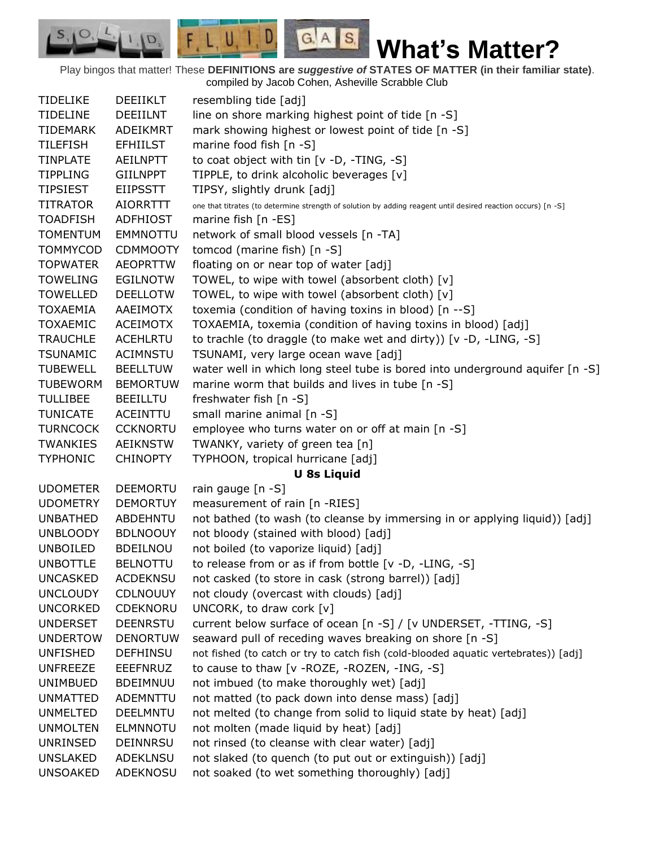$F, L, U, I, D,$  $G.A.S.$  $S_{1}$  $\circ$ **What's Matter?** D.

Play bingos that matter! These **DEFINITIONS are** *suggestive of* **STATES OF MATTER (in their familiar state)**. compiled by Jacob Cohen, Asheville Scrabble Club

| <b>TIDELIKE</b> | <b>DEEIIKLT</b> | resembling tide [adj]                                                                                        |
|-----------------|-----------------|--------------------------------------------------------------------------------------------------------------|
| <b>TIDELINE</b> | <b>DEEIILNT</b> | line on shore marking highest point of tide [n -S]                                                           |
| <b>TIDEMARK</b> | ADEIKMRT        | mark showing highest or lowest point of tide [n -S]                                                          |
| <b>TILEFISH</b> | <b>EFHIILST</b> | marine food fish [n -S]                                                                                      |
| <b>TINPLATE</b> | <b>AEILNPTT</b> | to coat object with tin [v -D, -TING, -S]                                                                    |
| <b>TIPPLING</b> | <b>GIILNPPT</b> | TIPPLE, to drink alcoholic beverages [v]                                                                     |
| <b>TIPSIEST</b> | <b>EIIPSSTT</b> | TIPSY, slightly drunk [adj]                                                                                  |
| <b>TITRATOR</b> | <b>AIORRTTT</b> | one that titrates (to determine strength of solution by adding reagent until desired reaction occurs) [n -S] |
| <b>TOADFISH</b> | ADFHIOST        | marine fish [n -ES]                                                                                          |
| <b>TOMENTUM</b> | <b>EMMNOTTU</b> | network of small blood vessels [n -TA]                                                                       |
| <b>TOMMYCOD</b> | <b>CDMMOOTY</b> | tomcod (marine fish) [n -S]                                                                                  |
| <b>TOPWATER</b> | <b>AEOPRTTW</b> | floating on or near top of water [adj]                                                                       |
| <b>TOWELING</b> | <b>EGILNOTW</b> | TOWEL, to wipe with towel (absorbent cloth) [v]                                                              |
| <b>TOWELLED</b> | <b>DEELLOTW</b> | TOWEL, to wipe with towel (absorbent cloth) [v]                                                              |
| <b>TOXAEMIA</b> | AAEIMOTX        | toxemia (condition of having toxins in blood) [n --S]                                                        |
| <b>TOXAEMIC</b> | <b>ACEIMOTX</b> | TOXAEMIA, toxemia (condition of having toxins in blood) [adj]                                                |
| <b>TRAUCHLE</b> | <b>ACEHLRTU</b> | to trachle (to draggle (to make wet and dirty)) [v -D, -LING, -S]                                            |
| <b>TSUNAMIC</b> | <b>ACIMNSTU</b> | TSUNAMI, very large ocean wave [adj]                                                                         |
| <b>TUBEWELL</b> | <b>BEELLTUW</b> | water well in which long steel tube is bored into underground aquifer [n -S]                                 |
| <b>TUBEWORM</b> | <b>BEMORTUW</b> | marine worm that builds and lives in tube [n -S]                                                             |
| <b>TULLIBEE</b> | <b>BEEILLTU</b> | freshwater fish $[n - S]$                                                                                    |
| <b>TUNICATE</b> | ACEINTTU        | small marine animal [n -S]                                                                                   |
| <b>TURNCOCK</b> | <b>CCKNORTU</b> | employee who turns water on or off at main [n -S]                                                            |
| TWANKIES        | <b>AEIKNSTW</b> | TWANKY, variety of green tea [n]                                                                             |
| <b>TYPHONIC</b> | <b>CHINOPTY</b> | TYPHOON, tropical hurricane [adj]                                                                            |
|                 |                 | <b>U 8s Liquid</b>                                                                                           |
| <b>UDOMETER</b> | <b>DEEMORTU</b> | rain gauge [n -S]                                                                                            |
| <b>UDOMETRY</b> | <b>DEMORTUY</b> | measurement of rain [n -RIES]                                                                                |
| <b>UNBATHED</b> | ABDEHNTU        | not bathed (to wash (to cleanse by immersing in or applying liquid)) [adj]                                   |
| <b>UNBLOODY</b> | <b>BDLNOOUY</b> | not bloody (stained with blood) [adj]                                                                        |
| <b>UNBOILED</b> | <b>BDEILNOU</b> | not boiled (to vaporize liquid) [adj]                                                                        |
| <b>UNBOTTLE</b> | <b>BELNOTTU</b> | to release from or as if from bottle [v -D, -LING, -S]                                                       |
| <b>UNCASKED</b> | <b>ACDEKNSU</b> | not casked (to store in cask (strong barrel)) [adj]                                                          |
| <b>UNCLOUDY</b> | <b>CDLNOUUY</b> | not cloudy (overcast with clouds) [adj]                                                                      |
| <b>UNCORKED</b> | CDEKNORU        | UNCORK, to draw cork [v]                                                                                     |
| <b>UNDERSET</b> | <b>DEENRSTU</b> | current below surface of ocean [n -S] / [v UNDERSET, -TTING, -S]                                             |
| <b>UNDERTOW</b> | <b>DENORTUW</b> | seaward pull of receding waves breaking on shore [n -S]                                                      |
| <b>UNFISHED</b> | <b>DEFHINSU</b> | not fished (to catch or try to catch fish (cold-blooded aquatic vertebrates)) [adj]                          |
| <b>UNFREEZE</b> | <b>EEEFNRUZ</b> | to cause to thaw [v - ROZE, - ROZEN, -ING, -S]                                                               |
| <b>UNIMBUED</b> | <b>BDEIMNUU</b> | not imbued (to make thoroughly wet) [adj]                                                                    |
| <b>UNMATTED</b> | <b>ADEMNTTU</b> | not matted (to pack down into dense mass) [adj]                                                              |
| <b>UNMELTED</b> | <b>DEELMNTU</b> | not melted (to change from solid to liquid state by heat) [adj]                                              |
| <b>UNMOLTEN</b> | <b>ELMNNOTU</b> | not molten (made liquid by heat) [adj]                                                                       |
| UNRINSED        | <b>DEINNRSU</b> | not rinsed (to cleanse with clear water) [adj]                                                               |
| <b>UNSLAKED</b> | <b>ADEKLNSU</b> | not slaked (to quench (to put out or extinguish)) [adj]                                                      |
| <b>UNSOAKED</b> | ADEKNOSU        | not soaked (to wet something thoroughly) [adj]                                                               |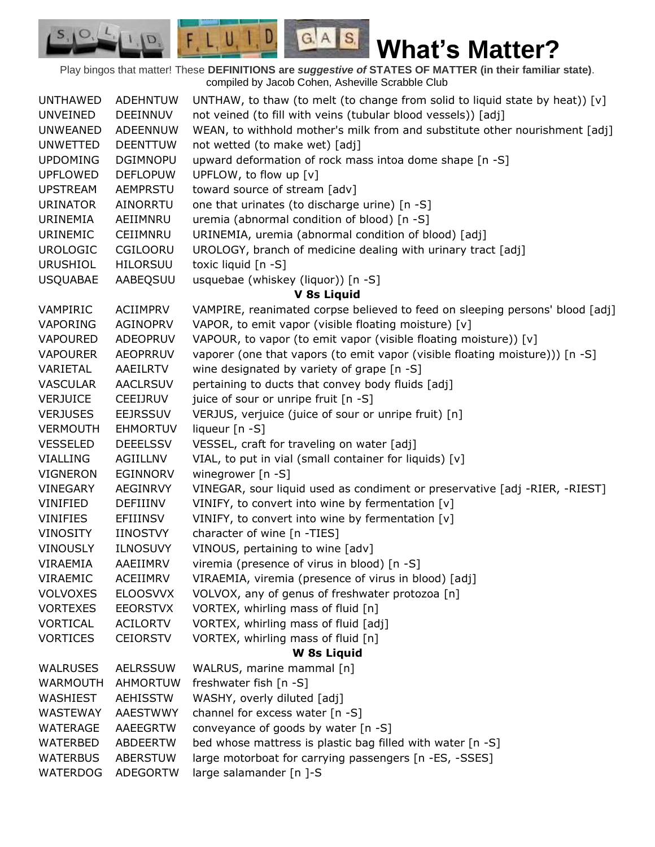$G.A.S.$ **What's Matter?**

Play bingos that matter! These **DEFINITIONS are** *suggestive of* **STATES OF MATTER (in their familiar state)**. compiled by Jacob Cohen, Asheville Scrabble Club

 $F, L, U, I, D,$ 

D.

| <b>UNTHAWED</b> | <b>ADEHNTUW</b> | UNTHAW, to thaw (to melt (to change from solid to liquid state by heat)) $[v]$ |
|-----------------|-----------------|--------------------------------------------------------------------------------|
| <b>UNVEINED</b> | <b>DEEINNUV</b> | not veined (to fill with veins (tubular blood vessels)) [adj]                  |
| <b>UNWEANED</b> | ADEENNUW        | WEAN, to withhold mother's milk from and substitute other nourishment [adj]    |
| <b>UNWETTED</b> | <b>DEENTTUW</b> | not wetted (to make wet) [adj]                                                 |
| <b>UPDOMING</b> | <b>DGIMNOPU</b> | upward deformation of rock mass intoa dome shape [n -S]                        |
| <b>UPFLOWED</b> | <b>DEFLOPUW</b> | UPFLOW, to flow up [v]                                                         |
| <b>UPSTREAM</b> | AEMPRSTU        | toward source of stream [adv]                                                  |
| <b>URINATOR</b> | AINORRTU        | one that urinates (to discharge urine) [n -S]                                  |
| URINEMIA        | AEIIMNRU        | uremia (abnormal condition of blood) [n -S]                                    |
| URINEMIC        | CEIIMNRU        | URINEMIA, uremia (abnormal condition of blood) [adj]                           |
| <b>UROLOGIC</b> | CGILOORU        | UROLOGY, branch of medicine dealing with urinary tract [adj]                   |
| <b>URUSHIOL</b> | <b>HILORSUU</b> | toxic liquid [n -S]                                                            |
| <b>USQUABAE</b> | AABEQSUU        | usquebae (whiskey (liquor)) [n -S]                                             |
|                 |                 | V 8s Liquid                                                                    |
| VAMPIRIC        | ACIIMPRV        | VAMPIRE, reanimated corpse believed to feed on sleeping persons' blood [adj]   |
| VAPORING        | <b>AGINOPRV</b> | VAPOR, to emit vapor (visible floating moisture) [v]                           |
| <b>VAPOURED</b> | <b>ADEOPRUV</b> | VAPOUR, to vapor (to emit vapor (visible floating moisture)) [v]               |
| <b>VAPOURER</b> | <b>AEOPRRUV</b> | vaporer (one that vapors (to emit vapor (visible floating moisture))) [n -S]   |
| VARIETAL        | AAEILRTV        | wine designated by variety of grape [n -S]                                     |
| <b>VASCULAR</b> | <b>AACLRSUV</b> | pertaining to ducts that convey body fluids [adj]                              |
| <b>VERJUICE</b> | CEEIJRUV        | juice of sour or unripe fruit [n -S]                                           |
| <b>VERJUSES</b> | <b>EEJRSSUV</b> | VERJUS, verjuice (juice of sour or unripe fruit) [n]                           |
| <b>VERMOUTH</b> | <b>EHMORTUV</b> | liqueur [n -S]                                                                 |
| <b>VESSELED</b> | <b>DEEELSSV</b> | VESSEL, craft for traveling on water [adj]                                     |
| VIALLING        | AGIILLNV        | VIAL, to put in vial (small container for liquids) [v]                         |
| <b>VIGNERON</b> | EGINNORV        | winegrower [n -S]                                                              |
| <b>VINEGARY</b> | AEGINRVY        | VINEGAR, sour liquid used as condiment or preservative [adj -RIER, -RIEST]     |
| VINIFIED        | DEFIIINV        | VINIFY, to convert into wine by fermentation [v]                               |
| <b>VINIFIES</b> | EFIIINSV        | VINIFY, to convert into wine by fermentation [v]                               |
| VINOSITY        | <b>IINOSTVY</b> | character of wine [n -TIES]                                                    |
| <b>VINOUSLY</b> | <b>ILNOSUVY</b> | VINOUS, pertaining to wine [adv]                                               |
| VIRAEMIA        | AAEIIMRV        | viremia (presence of virus in blood) [n -S]                                    |
| VIRAEMIC        | <b>ACEIIMRV</b> | VIRAEMIA, viremia (presence of virus in blood) [adj]                           |
| <b>VOLVOXES</b> | <b>ELOOSVVX</b> | VOLVOX, any of genus of freshwater protozoa [n]                                |
| <b>VORTEXES</b> | <b>EEORSTVX</b> | VORTEX, whirling mass of fluid [n]                                             |
| <b>VORTICAL</b> | <b>ACILORTV</b> | VORTEX, whirling mass of fluid [adj]                                           |
| <b>VORTICES</b> | <b>CEIORSTV</b> | VORTEX, whirling mass of fluid [n]                                             |
|                 |                 | <b>W</b> 8s Liquid                                                             |
| <b>WALRUSES</b> | <b>AELRSSUW</b> | WALRUS, marine mammal [n]                                                      |
| <b>WARMOUTH</b> | AHMORTUW        | freshwater fish [n -S]                                                         |
| WASHIEST        | <b>AEHISSTW</b> | WASHY, overly diluted [adj]                                                    |
| WASTEWAY        | <b>AAESTWWY</b> | channel for excess water [n -S]                                                |
| WATERAGE        | AAEEGRTW        | conveyance of goods by water [n -S]                                            |
| WATERBED        | <b>ABDEERTW</b> | bed whose mattress is plastic bag filled with water [n -S]                     |
| <b>WATERBUS</b> | <b>ABERSTUW</b> | large motorboat for carrying passengers [n -ES, -SSES]                         |
| WATERDOG        | <b>ADEGORTW</b> | large salamander [n ]-S                                                        |